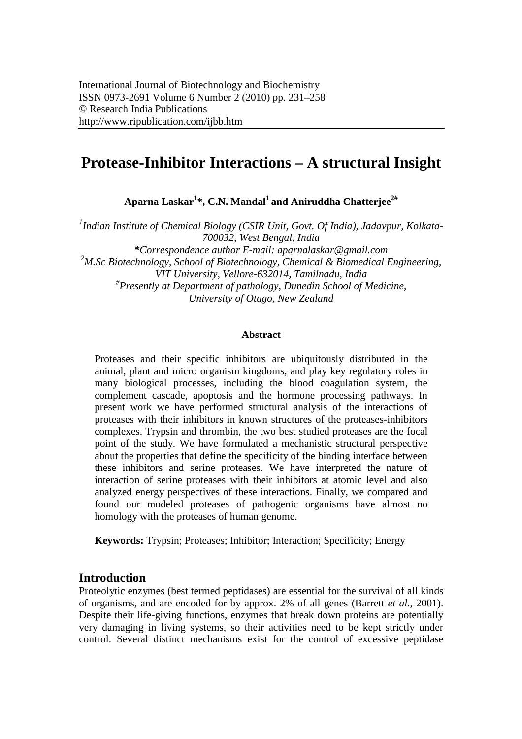# **Protease-Inhibitor Interactions – A structural Insight**

**Aparna Laskar1 \*, C.N. Mandal1 and Aniruddha Chatterjee2#** 

*1 Indian Institute of Chemical Biology (CSIR Unit, Govt. Of India), Jadavpur, Kolkata-700032, West Bengal, India \*Correspondence author E-mail: aparnalaskar@gmail.com 2 M.Sc Biotechnology, School of Biotechnology, Chemical & Biomedical Engineering, VIT University, Vellore-632014, Tamilnadu, India # Presently at Department of pathology, Dunedin School of Medicine, University of Otago, New Zealand* 

#### **Abstract**

Proteases and their specific inhibitors are ubiquitously distributed in the animal, plant and micro organism kingdoms, and play key regulatory roles in many biological processes, including the blood coagulation system, the complement cascade, apoptosis and the hormone processing pathways. In present work we have performed structural analysis of the interactions of proteases with their inhibitors in known structures of the proteases-inhibitors complexes. Trypsin and thrombin, the two best studied proteases are the focal point of the study. We have formulated a mechanistic structural perspective about the properties that define the specificity of the binding interface between these inhibitors and serine proteases. We have interpreted the nature of interaction of serine proteases with their inhibitors at atomic level and also analyzed energy perspectives of these interactions. Finally, we compared and found our modeled proteases of pathogenic organisms have almost no homology with the proteases of human genome.

**Keywords:** Trypsin; Proteases; Inhibitor; Interaction; Specificity; Energy

## **Introduction**

Proteolytic enzymes (best termed peptidases) are essential for the survival of all kinds of organisms, and are encoded for by approx. 2% of all genes (Barrett *et al*., 2001). Despite their life-giving functions, enzymes that break down proteins are potentially very damaging in living systems, so their activities need to be kept strictly under control. Several distinct mechanisms exist for the control of excessive peptidase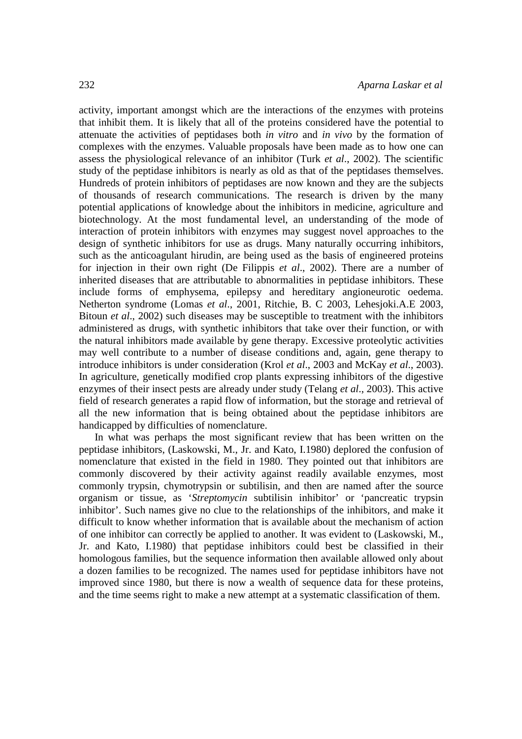activity, important amongst which are the interactions of the enzymes with proteins that inhibit them. It is likely that all of the proteins considered have the potential to attenuate the activities of peptidases both *in vitro* and *in vivo* by the formation of complexes with the enzymes. Valuable proposals have been made as to how one can assess the physiological relevance of an inhibitor (Turk *et al*., 2002). The scientific study of the peptidase inhibitors is nearly as old as that of the peptidases themselves. Hundreds of protein inhibitors of peptidases are now known and they are the subjects of thousands of research communications. The research is driven by the many potential applications of knowledge about the inhibitors in medicine, agriculture and biotechnology. At the most fundamental level, an understanding of the mode of interaction of protein inhibitors with enzymes may suggest novel approaches to the design of synthetic inhibitors for use as drugs. Many naturally occurring inhibitors, such as the anticoagulant hirudin, are being used as the basis of engineered proteins for injection in their own right (De Filippis *et al*., 2002). There are a number of inherited diseases that are attributable to abnormalities in peptidase inhibitors. These include forms of emphysema, epilepsy and hereditary angioneurotic oedema. Netherton syndrome (Lomas *et al*., 2001, Ritchie, B. C 2003, Lehesjoki.A.E 2003, Bitoun *et al*., 2002) such diseases may be susceptible to treatment with the inhibitors administered as drugs, with synthetic inhibitors that take over their function, or with the natural inhibitors made available by gene therapy. Excessive proteolytic activities may well contribute to a number of disease conditions and, again, gene therapy to introduce inhibitors is under consideration (Krol *et al*., 2003 and McKay *et al*., 2003). In agriculture, genetically modified crop plants expressing inhibitors of the digestive enzymes of their insect pests are already under study (Telang *et al*., 2003). This active field of research generates a rapid flow of information, but the storage and retrieval of all the new information that is being obtained about the peptidase inhibitors are handicapped by difficulties of nomenclature.

In what was perhaps the most significant review that has been written on the peptidase inhibitors, (Laskowski, M., Jr. and Kato, I.1980) deplored the confusion of nomenclature that existed in the field in 1980. They pointed out that inhibitors are commonly discovered by their activity against readily available enzymes, most commonly trypsin, chymotrypsin or subtilisin, and then are named after the source organism or tissue, as '*Streptomycin* subtilisin inhibitor' or 'pancreatic trypsin inhibitor'. Such names give no clue to the relationships of the inhibitors, and make it difficult to know whether information that is available about the mechanism of action of one inhibitor can correctly be applied to another. It was evident to (Laskowski, M., Jr. and Kato, I.1980) that peptidase inhibitors could best be classified in their homologous families, but the sequence information then available allowed only about a dozen families to be recognized. The names used for peptidase inhibitors have not improved since 1980, but there is now a wealth of sequence data for these proteins, and the time seems right to make a new attempt at a systematic classification of them.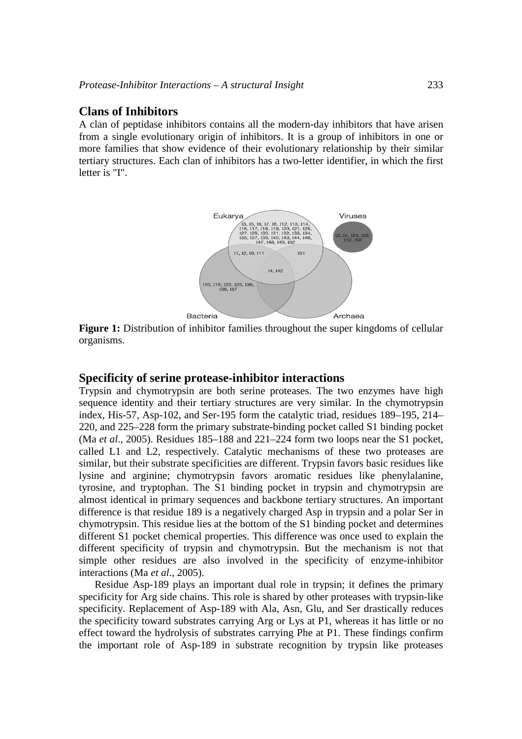## **Clans of Inhibitors**

A clan of peptidase inhibitors contains all the modern-day inhibitors that have arisen from a single evolutionary origin of inhibitors. It is a group of inhibitors in one or more families that show evidence of their evolutionary relationship by their similar tertiary structures. Each clan of inhibitors has a two-letter identifier, in which the first letter is "I".



**Figure 1:** Distribution of inhibitor families throughout the super kingdoms of cellular organisms.

#### **Specificity of serine protease-inhibitor interactions**

Trypsin and chymotrypsin are both serine proteases. The two enzymes have high sequence identity and their tertiary structures are very similar. In the chymotrypsin index, His-57, Asp-102, and Ser-195 form the catalytic triad, residues 189–195, 214– 220, and 225–228 form the primary substrate-binding pocket called S1 binding pocket (Ma *et al*., 2005). Residues 185–188 and 221–224 form two loops near the S1 pocket, called L1 and L2, respectively. Catalytic mechanisms of these two proteases are similar, but their substrate specificities are different. Trypsin favors basic residues like lysine and arginine; chymotrypsin favors aromatic residues like phenylalanine, tyrosine, and tryptophan. The S1 binding pocket in trypsin and chymotrypsin are almost identical in primary sequences and backbone tertiary structures. An important difference is that residue 189 is a negatively charged Asp in trypsin and a polar Ser in chymotrypsin. This residue lies at the bottom of the S1 binding pocket and determines different S1 pocket chemical properties. This difference was once used to explain the different specificity of trypsin and chymotrypsin. But the mechanism is not that simple other residues are also involved in the specificity of enzyme-inhibitor interactions (Ma *et al*., 2005).

Residue Asp-189 plays an important dual role in trypsin; it defines the primary specificity for Arg side chains. This role is shared by other proteases with trypsin-like specificity. Replacement of Asp-189 with Ala, Asn, Glu, and Ser drastically reduces the specificity toward substrates carrying Arg or Lys at P1, whereas it has little or no effect toward the hydrolysis of substrates carrying Phe at P1. These findings confirm the important role of Asp-189 in substrate recognition by trypsin like proteases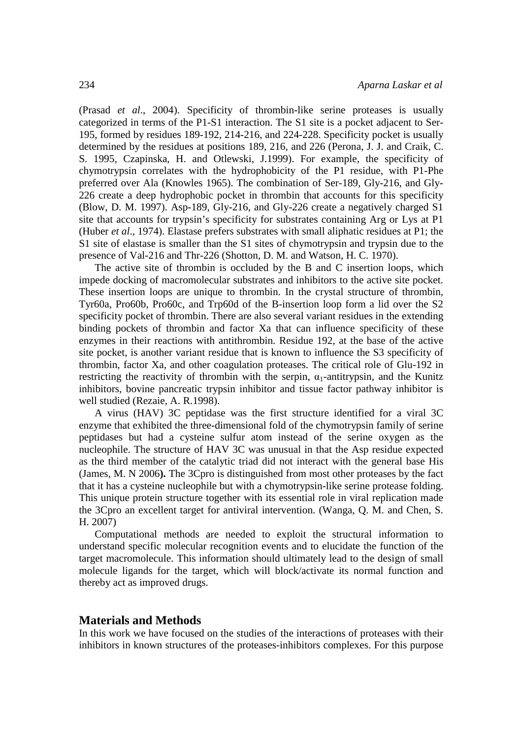(Prasad *et al*., 2004). Specificity of thrombin-like serine proteases is usually categorized in terms of the P1-S1 interaction. The S1 site is a pocket adjacent to Ser-195, formed by residues 189-192, 214-216, and 224-228. Specificity pocket is usually determined by the residues at positions 189, 216, and 226 (Perona, J. J. and Craik, C. S. 1995, Czapinska, H. and Otlewski, J.1999). For example, the specificity of chymotrypsin correlates with the hydrophobicity of the P1 residue, with P1-Phe preferred over Ala (Knowles 1965). The combination of Ser-189, Gly-216, and Gly-226 create a deep hydrophobic pocket in thrombin that accounts for this specificity (Blow, D. M. 1997). Asp-189, Gly-216, and Gly-226 create a negatively charged S1 site that accounts for trypsin's specificity for substrates containing Arg or Lys at P1 (Huber *et al*., 1974). Elastase prefers substrates with small aliphatic residues at P1; the S1 site of elastase is smaller than the S1 sites of chymotrypsin and trypsin due to the presence of Val-216 and Thr-226 (Shotton, D. M. and Watson, H. C. 1970).

The active site of thrombin is occluded by the B and C insertion loops, which impede docking of macromolecular substrates and inhibitors to the active site pocket. These insertion loops are unique to thrombin. In the crystal structure of thrombin, Tyr60a, Pro60b, Pro60c, and Trp60d of the B-insertion loop form a lid over the S2 specificity pocket of thrombin. There are also several variant residues in the extending binding pockets of thrombin and factor Xa that can influence specificity of these enzymes in their reactions with antithrombin. Residue 192, at the base of the active site pocket, is another variant residue that is known to influence the S3 specificity of thrombin, factor Xa, and other coagulation proteases. The critical role of Glu-192 in restricting the reactivity of thrombin with the serpin,  $\alpha_1$ -antitrypsin, and the Kunitz inhibitors, bovine pancreatic trypsin inhibitor and tissue factor pathway inhibitor is well studied (Rezaie, A. R.1998).

A virus (HAV) 3C peptidase was the first structure identified for a viral 3C enzyme that exhibited the three-dimensional fold of the chymotrypsin family of serine peptidases but had a cysteine sulfur atom instead of the serine oxygen as the nucleophile. The structure of HAV 3C was unusual in that the Asp residue expected as the third member of the catalytic triad did not interact with the general base His (James, M. N 2006**).** The 3Cpro is distinguished from most other proteases by the fact that it has a cysteine nucleophile but with a chymotrypsin-like serine protease folding. This unique protein structure together with its essential role in viral replication made the 3Cpro an excellent target for antiviral intervention. (Wanga, Q. M. and Chen, S. H. 2007)

Computational methods are needed to exploit the structural information to understand specific molecular recognition events and to elucidate the function of the target macromolecule. This information should ultimately lead to the design of small molecule ligands for the target, which will block/activate its normal function and thereby act as improved drugs.

#### **Materials and Methods**

In this work we have focused on the studies of the interactions of proteases with their inhibitors in known structures of the proteases-inhibitors complexes. For this purpose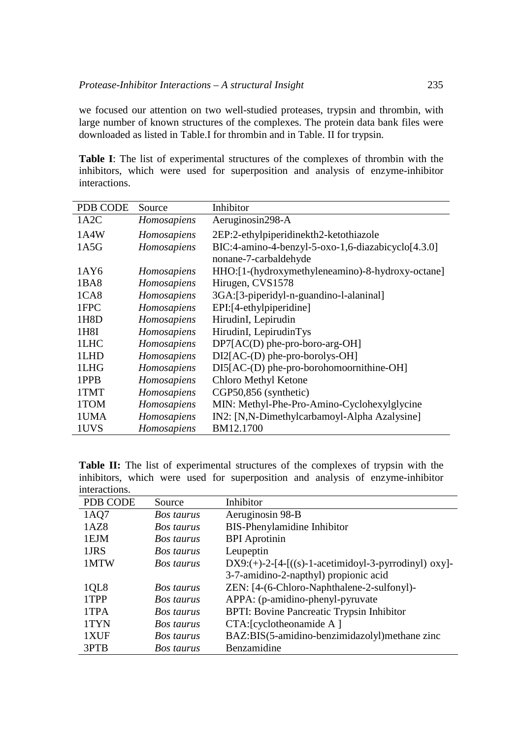we focused our attention on two well-studied proteases, trypsin and thrombin, with large number of known structures of the complexes. The protein data bank files were downloaded as listed in Table.I for thrombin and in Table. II for trypsin.

**Table I**: The list of experimental structures of the complexes of thrombin with the inhibitors, which were used for superposition and analysis of enzyme-inhibitor interactions.

| PDB CODE         | Source      | Inhibitor                                          |
|------------------|-------------|----------------------------------------------------|
| 1A2C             | Homosapiens | Aeruginosin298-A                                   |
| 1A4W             | Homosapiens | 2EP:2-ethylpiperidinekth2-ketothiazole             |
| 1A5G             | Homosapiens | BIC:4-amino-4-benzyl-5-oxo-1,6-diazabicyclo[4.3.0] |
|                  |             | nonane-7-carbaldehyde                              |
| 1AY6             | Homosapiens | HHO:[1-(hydroxymethyleneamino)-8-hydroxy-octane]   |
| 1BA8             | Homosapiens | Hirugen, CVS1578                                   |
| 1C <sub>A8</sub> | Homosapiens | 3GA:[3-piperidyl-n-guandino-l-alaninal]            |
| 1FPC             | Homosapiens | EPI:[4-ethylpiperidine]                            |
| 1H8D             | Homosapiens | HirudinI, Lepirudin                                |
| 1H8I             | Homosapiens | HirudinI, LepirudinTys                             |
| 1LHC             | Homosapiens | $DP7[AC(D)$ phe-pro-boro-arg-OH]                   |
| 1LHD             | Homosapiens | $DI2[AC-(D)$ phe-pro-borolys-OH]                   |
| 1LHG             | Homosapiens | $DI5[AC-(D)$ phe-pro-borohomoornithine-OH]         |
| 1PPB             | Homosapiens | Chloro Methyl Ketone                               |
| 1TMT             | Homosapiens | CGP50,856 (synthetic)                              |
| 1TOM             | Homosapiens | MIN: Methyl-Phe-Pro-Amino-Cyclohexylglycine        |
| 1UMA             | Homosapiens | IN2: [N,N-Dimethylcarbamoyl-Alpha Azalysine]       |
| 1UVS             | Homosapiens | BM12.1700                                          |

**Table II:** The list of experimental structures of the complexes of trypsin with the inhibitors, which were used for superposition and analysis of enzyme-inhibitor interactions.

| 111101 ac 110113.<br>PDB CODE | Source            | Inhibitor                                               |
|-------------------------------|-------------------|---------------------------------------------------------|
| 1AQ7                          | Bos taurus        | Aeruginosin 98-B                                        |
| 1AZ8                          | Bos taurus        | BIS-Phenylamidine Inhibitor                             |
| 1EJM                          | Bos taurus        | <b>BPI</b> Aprotinin                                    |
| 1JRS                          | <b>Bos taurus</b> | Leupeptin                                               |
| 1MTW                          | <b>Bos taurus</b> | $DX9:(+)$ -2-[4-[((s)-1-acetimidoyl-3-pyrrodinyl) oxy]- |
|                               |                   | 3-7-amidino-2-napthyl) propionic acid                   |
| 1QL8                          | Bos taurus        | ZEN: [4-(6-Chloro-Naphthalene-2-sulfonyl)-              |
| 1TPP                          | Bos taurus        | APPA: (p-amidino-phenyl-pyruvate)                       |
| 1TPA                          | Bos taurus        | <b>BPTI:</b> Bovine Pancreatic Trypsin Inhibitor        |
| 1TYN                          | Bos taurus        | CTA: [cyclotheonamide A]                                |
| 1XUF                          | Bos taurus        | BAZ:BIS(5-amidino-benzimidazolyl) methane zinc          |
| 3PTB                          | Bos taurus        | Benzamidine                                             |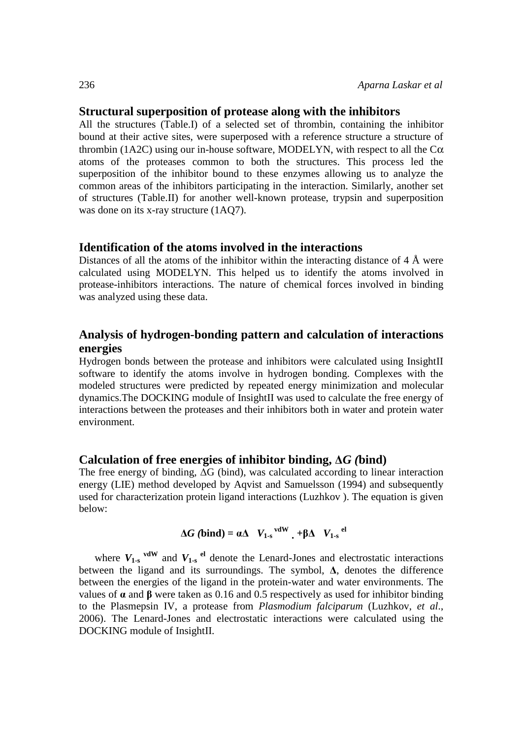## **Structural superposition of protease along with the inhibitors**

All the structures (Table.I) of a selected set of thrombin, containing the inhibitor bound at their active sites, were superposed with a reference structure a structure of thrombin (1A2C) using our in-house software, MODELYN, with respect to all the  $C\alpha$ atoms of the proteases common to both the structures. This process led the superposition of the inhibitor bound to these enzymes allowing us to analyze the common areas of the inhibitors participating in the interaction. Similarly, another set of structures (Table.II) for another well-known protease, trypsin and superposition was done on its x-ray structure  $(1A07)$ .

## **Identification of the atoms involved in the interactions**

Distances of all the atoms of the inhibitor within the interacting distance of  $4 \text{ Å}$  were calculated using MODELYN. This helped us to identify the atoms involved in protease-inhibitors interactions. The nature of chemical forces involved in binding was analyzed using these data.

# **Analysis of hydrogen-bonding pattern and calculation of interactions energies**

Hydrogen bonds between the protease and inhibitors were calculated using InsightII software to identify the atoms involve in hydrogen bonding. Complexes with the modeled structures were predicted by repeated energy minimization and molecular dynamics.The DOCKING module of InsightII was used to calculate the free energy of interactions between the proteases and their inhibitors both in water and protein water environment.

# **Calculation of free energies of inhibitor binding,** Δ*G (***bind)**

The free energy of binding,  $\overline{\Delta G}$  (bind), was calculated according to linear interaction energy (LIE) method developed by Aqvist and Samuelsson (1994) and subsequently used for characterization protein ligand interactions (Luzhkov ). The equation is given below:

$$
\Delta G \text{ (bind)} = \alpha \Delta \quad V_{1-s}^{\text{vdW}} + \beta \Delta \quad V_{1-s}^{\text{el}}
$$

where  $V_{1-s}$ <sup>vdW</sup> and  $V_{1-s}$ <sup>el</sup> denote the Lenard-Jones and electrostatic interactions between the ligand and its surroundings. The symbol,  $\Delta$ , denotes the difference between the energies of the ligand in the protein-water and water environments. The values of  $\alpha$  and  $\beta$  were taken as 0.16 and 0.5 respectively as used for inhibitor binding to the Plasmepsin IV, a protease from *Plasmodium falciparum* (Luzhkov, *et al*., 2006). The Lenard-Jones and electrostatic interactions were calculated using the DOCKING module of InsightII.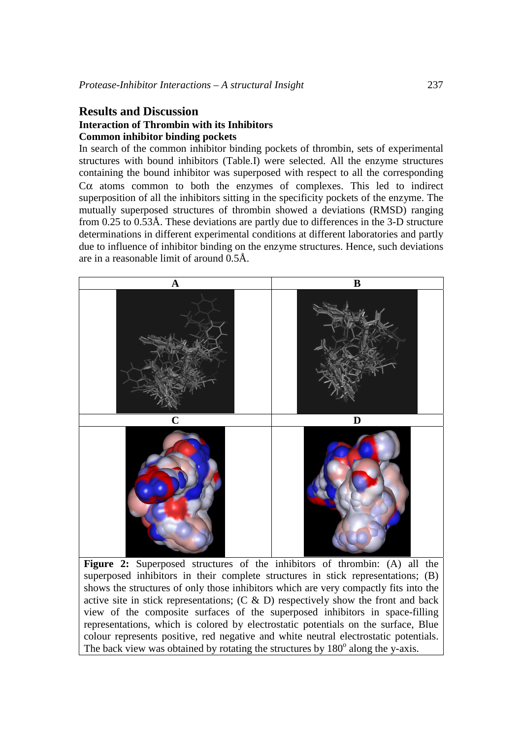# **Results and Discussion**

### **Interaction of Thrombin with its Inhibitors Common inhibitor binding pockets**

In search of the common inhibitor binding pockets of thrombin, sets of experimental structures with bound inhibitors (Table.I) were selected. All the enzyme structures containing the bound inhibitor was superposed with respect to all the corresponding Cα atoms common to both the enzymes of complexes. This led to indirect superposition of all the inhibitors sitting in the specificity pockets of the enzyme. The mutually superposed structures of thrombin showed a deviations (RMSD) ranging from 0.25 to 0.53Å. These deviations are partly due to differences in the 3-D structure determinations in different experimental conditions at different laboratories and partly due to influence of inhibitor binding on the enzyme structures. Hence, such deviations are in a reasonable limit of around 0.5Å.



**Figure 2:** Superposed structures of the inhibitors of thrombin: (A) all the superposed inhibitors in their complete structures in stick representations; (B) shows the structures of only those inhibitors which are very compactly fits into the active site in stick representations;  $(C \& D)$  respectively show the front and back view of the composite surfaces of the superposed inhibitors in space-filling representations, which is colored by electrostatic potentials on the surface, Blue colour represents positive, red negative and white neutral electrostatic potentials. The back view was obtained by rotating the structures by 180° along the y-axis.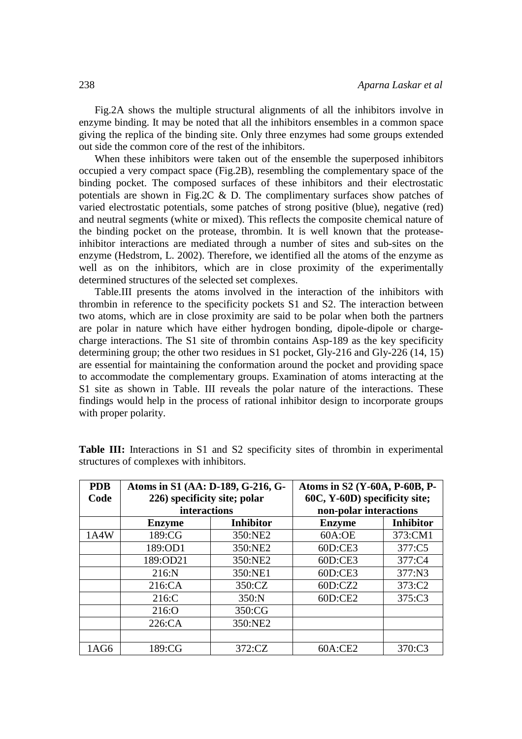Fig.2A shows the multiple structural alignments of all the inhibitors involve in enzyme binding. It may be noted that all the inhibitors ensembles in a common space giving the replica of the binding site. Only three enzymes had some groups extended out side the common core of the rest of the inhibitors.

When these inhibitors were taken out of the ensemble the superposed inhibitors occupied a very compact space (Fig.2B), resembling the complementary space of the binding pocket. The composed surfaces of these inhibitors and their electrostatic potentials are shown in Fig.2C & D. The complimentary surfaces show patches of varied electrostatic potentials, some patches of strong positive (blue), negative (red) and neutral segments (white or mixed). This reflects the composite chemical nature of the binding pocket on the protease, thrombin. It is well known that the proteaseinhibitor interactions are mediated through a number of sites and sub-sites on the enzyme (Hedstrom, L. 2002). Therefore, we identified all the atoms of the enzyme as well as on the inhibitors, which are in close proximity of the experimentally determined structures of the selected set complexes.

Table.III presents the atoms involved in the interaction of the inhibitors with thrombin in reference to the specificity pockets S1 and S2. The interaction between two atoms, which are in close proximity are said to be polar when both the partners are polar in nature which have either hydrogen bonding, dipole-dipole or chargecharge interactions. The S1 site of thrombin contains Asp-189 as the key specificity determining group; the other two residues in S1 pocket, Gly-216 and Gly-226 (14, 15) are essential for maintaining the conformation around the pocket and providing space to accommodate the complementary groups. Examination of atoms interacting at the S1 site as shown in Table. III reveals the polar nature of the interactions. These findings would help in the process of rational inhibitor design to incorporate groups with proper polarity.

| <b>PDB</b><br>Code | Atoms in S1 (AA: D-189, G-216, G-<br>226) specificity site; polar<br><b>interactions</b> |                  | Atoms in S2 (Y-60A, P-60B, P-<br>60C, Y-60D) specificity site;<br>non-polar interactions |                  |  |
|--------------------|------------------------------------------------------------------------------------------|------------------|------------------------------------------------------------------------------------------|------------------|--|
|                    | <b>Enzyme</b>                                                                            | <b>Inhibitor</b> | <b>Enzyme</b>                                                                            | <b>Inhibitor</b> |  |
| 1A4W               | 189:CG                                                                                   | 350:NE2          | 60A:OE                                                                                   | 373:CM1          |  |
|                    | 189:OD1                                                                                  | 350:NE2          | 60D:CE3                                                                                  | 377:C5           |  |
|                    | 189:OD21                                                                                 | 350:NE2          | 60D:CE3                                                                                  | 377:C4           |  |
|                    | 216:N                                                                                    | 350:NE1          | 60D:CE3                                                                                  | 377:N3           |  |
|                    | 216:CA                                                                                   | 350:CZ           | 60D:CZ2                                                                                  | 373:C2           |  |
|                    | 216:C                                                                                    | 350:N            | 60D:CE2                                                                                  | 375:C3           |  |
|                    | 216:O                                                                                    | 350:CG           |                                                                                          |                  |  |
|                    | 226:CA                                                                                   | 350:NE2          |                                                                                          |                  |  |
|                    |                                                                                          |                  |                                                                                          |                  |  |
| 1AG6               | 189:CG                                                                                   | 372:CZ           | 60A:CE2                                                                                  | 370:C3           |  |

**Table III:** Interactions in S1 and S2 specificity sites of thrombin in experimental structures of complexes with inhibitors.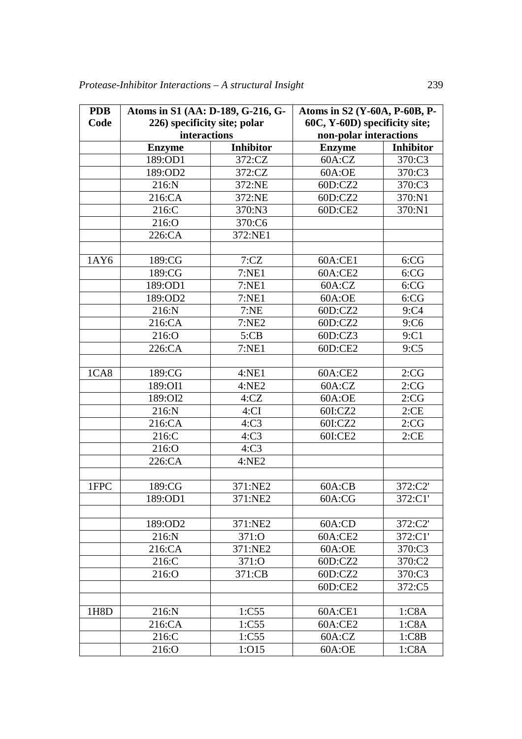| <b>PDB</b> | Atoms in S1 (AA: D-189, G-216, G- |                  | Atoms in S2 (Y-60A, P-60B, P- |                  |
|------------|-----------------------------------|------------------|-------------------------------|------------------|
| Code       | 226) specificity site; polar      |                  | 60C, Y-60D) specificity site; |                  |
|            | <b>interactions</b>               |                  | non-polar interactions        |                  |
|            | <b>Enzyme</b>                     | <b>Inhibitor</b> | <b>Enzyme</b>                 | <b>Inhibitor</b> |
|            | 189:OD1                           | 372:CZ           | 60A:CZ                        | 370:C3           |
|            | 189:OD2                           | 372:CZ           | 60A:OE                        | 370:C3           |
|            | 216:N                             | 372:NE           | 60D:CZ2                       | 370:C3           |
|            | 216:CA                            | 372:NE           | 60D:CZ2                       | 370:N1           |
|            | 216:C                             | 370:N3           | 60D:CE2                       | 370:N1           |
|            | 216:O                             | 370:C6           |                               |                  |
|            | 226:CA                            | 372:NE1          |                               |                  |
|            |                                   |                  |                               |                  |
| 1AY6       | 189:CG                            | 7:CZ             | 60A:CE1                       | 6:CG             |
|            | 189:CG                            | 7:NE1            | 60A:CE2                       | 6:CG             |
|            | 189:OD1                           | 7:NE1            | 60A:CZ                        | 6:CG             |
|            | 189:OD2                           | 7:NE1            | 60A:OE                        | 6:CG             |
|            | 216:N                             | 7:NE             | 60D:CZ2                       | 9:C4             |
|            | 216:CA                            | 7:NE2            | 60D:CZ2                       | 9:C6             |
|            | 216:O                             | 5:CB             | 60D:CZ3                       | 9:Cl             |
|            | 226:CA                            | 7:NE1            | 60D:CE2                       | 9:C5             |
|            |                                   |                  |                               |                  |
| 1CA8       | 189:CG                            | 4:NE1<br>60A:CE2 |                               | 2:CG             |
|            | 189:OI1                           | 4:NE2            | 60A:CZ                        | 2:CG             |
|            | 189:OI2                           | 4:CZ             | 60A:OE                        | 2:CG             |
|            | 216:N                             | 4:CI             | 60I:CZ2                       | 2:CE             |
|            | 216:CA                            | 4:C3             | 60I:CZ2                       | 2:CG             |
|            | 216:C                             | 4:C3             | 60I:CE2                       | 2:CE             |
|            | 216:O                             | 4:C3             |                               |                  |
|            | 226:CA                            | 4:NE2            |                               |                  |
|            |                                   |                  |                               |                  |
| 1FPC       | 189:CG                            | 371:NE2          | 60A:CB                        | 372:C2'          |
|            | 189:OD1                           | 371:NE2          | 60A:CG                        | 372:C1'          |
|            |                                   |                  |                               |                  |
|            | 189:OD2                           | 371:NE2          | 60A:CD                        | 372:C2'          |
|            | 216:N                             | 371:0            | 60A:CE2                       | 372:C1'          |
|            | 216:CA                            | 371:NE2          | 60A:OE                        | 370:C3           |
|            | 216:C                             | 371:O            |                               | 370:C2           |
|            | 216:O                             | 371:CB           | 60D:CZ2                       | 370:C3           |
|            |                                   |                  | 60D:CE2                       | 372:C5           |
|            |                                   |                  |                               |                  |
| 1H8D       | 216:N                             | 1:C55            | 60A:CE1                       | 1:CSA            |
|            | 216:CA                            | 1:C55            | 60A:CE2                       | 1:CSA            |
|            | 216:C                             | 1:C55            | 60A:CZ                        | 1:CBB            |
|            | 216:O                             | 1:015            | 60A:OE                        | 1:CSA            |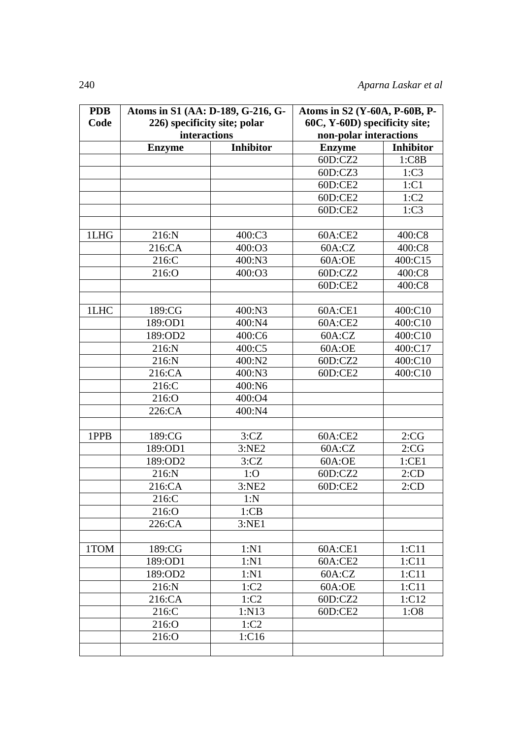| <b>PDB</b> | Atoms in S1 (AA: D-189, G-216, G- |                  | Atoms in S2 (Y-60A, P-60B, P- |                  |  |
|------------|-----------------------------------|------------------|-------------------------------|------------------|--|
| Code       | 226) specificity site; polar      |                  | 60C, Y-60D) specificity site; |                  |  |
|            | interactions                      |                  | non-polar interactions        |                  |  |
|            | <b>Enzyme</b>                     | <b>Inhibitor</b> | <b>Enzyme</b>                 | <b>Inhibitor</b> |  |
|            |                                   |                  | 60D:CZ2                       | 1:CBB            |  |
|            |                                   |                  | 60D:CZ3                       | 1:C3             |  |
|            |                                   |                  | 60D:CE2                       | 1:Cl             |  |
|            |                                   |                  | 60D:CE2                       | 1:C2             |  |
|            |                                   |                  | 60D:CE2                       | 1:C3             |  |
|            |                                   |                  |                               |                  |  |
| 1LHG       | 216:N                             | 400:C3           | 60A:CE2                       | 400:C8           |  |
|            | 216:CA                            | 400:O3           | 60A:CZ                        | 400:C8           |  |
|            | 216:C                             | 400:N3           | 60A:OE                        | 400:C15          |  |
|            | 216:O                             | 400:O3           | 60D:CZ2                       | 400:C8           |  |
|            |                                   |                  | 60D:CE2                       | 400:C8           |  |
|            |                                   |                  |                               |                  |  |
| 1LHC       | 189:CG                            | 400:N3           | 60A:CE1                       | 400:C10          |  |
|            | 189:OD1                           | 400:N4           | 60A:CE2                       | 400:C10          |  |
|            | 189:OD2                           | 400:C6           | 60A:CZ                        | 400:C10          |  |
|            | 216:N                             | 400:C5           | 60A:OE                        | 400:C17          |  |
|            | 216:N                             | 400:N2           | 60D:CZ2                       | 400:C10          |  |
|            | 216:CA                            | 400:N3           | 60D:CE2                       | 400:C10          |  |
|            | 216:C                             | 400:N6           |                               |                  |  |
|            | 216:O                             | 400:O4           |                               |                  |  |
|            | 226:CA                            | 400:N4           |                               |                  |  |
|            |                                   |                  |                               |                  |  |
| 1PPB       | 189:CG                            | 3:CZ             | 60A:CE2                       | 2:CG             |  |
|            | 189:OD1                           | 3:NE2            | 60A:CZ                        | 2:CG             |  |
|            | 189:OD2                           | 3:CZ             | 60A:OE                        | 1:CE1            |  |
|            | 216:N                             | 1:0              | 60D:CZ2                       | 2:CD             |  |
|            | 216:CA                            | 3:NE2            | 60D:CE2                       | 2:CD             |  |
|            | 216:C                             | 1:N              |                               |                  |  |
|            | 216:O                             | 1:CB             |                               |                  |  |
|            | 226:CA                            | 3:NE1            |                               |                  |  |
|            |                                   |                  |                               |                  |  |
| 1TOM       | 189:CG                            | 1:N1             | 60A:CE1                       | 1:C11            |  |
|            | 189:OD1                           | 1:N1             | 60A:CE2                       | 1:C11            |  |
|            | 189:OD2                           | 1:N1             | 60A:CZ                        | 1:C11            |  |
|            | 216:N                             | 1:C2             | 60A:OE                        | 1:C11            |  |
|            | 216:CA                            | 1:C2             | 60D:CZ2                       | 1:C12            |  |
|            | 216:C                             | 1:N13            | 60D:CE2                       | 1:08             |  |
|            | 216:O                             | 1:C2             |                               |                  |  |
|            | 216:O                             | 1:C16            |                               |                  |  |
|            |                                   |                  |                               |                  |  |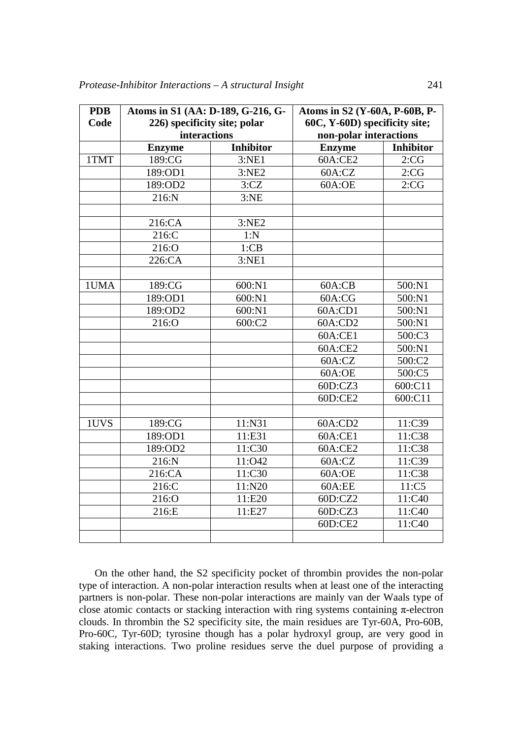| <b>PDB</b> | Atoms in S1 (AA: D-189, G-216, G- |                     |                               | Atoms in S2 (Y-60A, P-60B, P- |  |  |  |
|------------|-----------------------------------|---------------------|-------------------------------|-------------------------------|--|--|--|
| Code       | 226) specificity site; polar      |                     | 60C, Y-60D) specificity site; |                               |  |  |  |
|            | interactions                      |                     | non-polar interactions        |                               |  |  |  |
|            | <b>Enzyme</b>                     | <b>Inhibitor</b>    | <b>Enzyme</b>                 | <b>Inhibitor</b>              |  |  |  |
| 1TMT       | 189:CG                            | 3:NE1               | 60A:CE2                       | 2:CG                          |  |  |  |
|            | 189:OD1                           | $\overline{3}$ :NE2 | 60A:CZ                        | 2:CG                          |  |  |  |
|            | 189:OD2                           | 3:CZ                | 60A:OE                        | 2:CG                          |  |  |  |
|            | 216:N                             | 3:NE                |                               |                               |  |  |  |
|            |                                   |                     |                               |                               |  |  |  |
|            | 216:CA                            | 3:NE2               |                               |                               |  |  |  |
|            | 216:C                             | 1:N                 |                               |                               |  |  |  |
|            | 216:O                             | 1:CB                |                               |                               |  |  |  |
|            | 226:CA                            | 3:NE1               |                               |                               |  |  |  |
|            |                                   |                     |                               |                               |  |  |  |
| 1UMA       | 189:CG                            | 600:N1              | 60A:CB                        | 500:N1                        |  |  |  |
|            | 189:OD1                           | 600:N1              | 60A:CG                        | 500:N1                        |  |  |  |
|            | 189:OD2                           | 600:N1              | 60A:CD1                       | 500:N1                        |  |  |  |
|            | 216:O                             | 600:C2              | 60A:CD2                       | 500:N1                        |  |  |  |
|            |                                   |                     | 60A:CE1                       | 500:C3                        |  |  |  |
|            |                                   |                     | 60A:CE2                       | $\overline{5}00:N1$           |  |  |  |
|            |                                   |                     | 60A:CZ                        | 500:C2                        |  |  |  |
|            |                                   |                     |                               | 500:C5                        |  |  |  |
|            |                                   |                     |                               | 600:C11                       |  |  |  |
|            |                                   |                     | 60D:CE2                       | 600:C11                       |  |  |  |
|            |                                   |                     |                               |                               |  |  |  |
| 1UVS       | 189:CG                            | 11:N31              | 60A:CD2                       | 11:C39                        |  |  |  |
|            | 189:OD1                           | 11:E31              | 60A:CE1                       | 11:C38                        |  |  |  |
|            | 189:OD2                           | 11:C30              | 60A:CE2                       | 11:C38                        |  |  |  |
|            | 216:N                             | 11:042              | 60A:CZ                        | 11:C39                        |  |  |  |
|            | 216:CA                            | 11:C30              | 60A:OE                        | 11:C38                        |  |  |  |
|            | 216:C                             | 11:N20              | 60A:EE                        | 11:C5                         |  |  |  |
|            | 216:O                             | 11:E20              | 60D:CZ2                       | 11:C40                        |  |  |  |
|            | 216:E                             | 11:E27              | 60D:CZ3                       | 11:C40                        |  |  |  |
|            |                                   |                     | 60D:CE2                       | 11:C40                        |  |  |  |
|            |                                   |                     |                               |                               |  |  |  |

On the other hand, the S2 specificity pocket of thrombin provides the non-polar type of interaction. A non-polar interaction results when at least one of the interacting partners is non-polar. These non-polar interactions are mainly van der Waals type of close atomic contacts or stacking interaction with ring systems containing  $\pi$ -electron clouds. In thrombin the S2 specificity site, the main residues are Tyr-60A, Pro-60B, Pro-60C, Tyr-60D; tyrosine though has a polar hydroxyl group, are very good in staking interactions. Two proline residues serve the duel purpose of providing a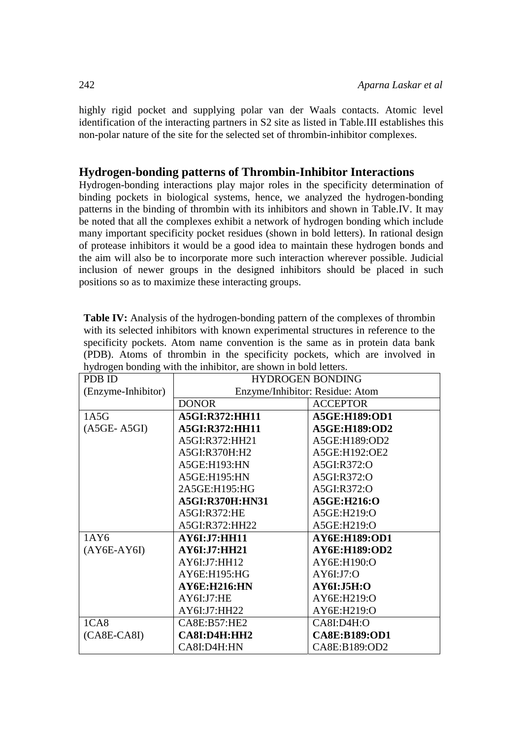highly rigid pocket and supplying polar van der Waals contacts. Atomic level identification of the interacting partners in S2 site as listed in Table.III establishes this non-polar nature of the site for the selected set of thrombin-inhibitor complexes.

# **Hydrogen-bonding patterns of Thrombin-Inhibitor Interactions**

Hydrogen-bonding interactions play major roles in the specificity determination of binding pockets in biological systems, hence, we analyzed the hydrogen-bonding patterns in the binding of thrombin with its inhibitors and shown in Table.IV. It may be noted that all the complexes exhibit a network of hydrogen bonding which include many important specificity pocket residues (shown in bold letters). In rational design of protease inhibitors it would be a good idea to maintain these hydrogen bonds and the aim will also be to incorporate more such interaction wherever possible. Judicial inclusion of newer groups in the designed inhibitors should be placed in such positions so as to maximize these interacting groups.

| <b>Table IV:</b> Analysis of the hydrogen-bonding pattern of the complexes of thrombin |
|----------------------------------------------------------------------------------------|
| with its selected inhibitors with known experimental structures in reference to the    |
| specificity pockets. Atom name convention is the same as in protein data bank          |
| (PDB). Atoms of thrombin in the specificity pockets, which are involved in             |
| hydrogen bonding with the inhibitor, are shown in bold letters.                        |

| PDB ID             | <b>HYDROGEN BONDING</b>         |                      |  |  |
|--------------------|---------------------------------|----------------------|--|--|
| (Enzyme-Inhibitor) | Enzyme/Inhibitor: Residue: Atom |                      |  |  |
|                    | <b>DONOR</b>                    | <b>ACCEPTOR</b>      |  |  |
| 1A5G               | <b>A5GI:R372:HH11</b>           | A5GE:H189:OD1        |  |  |
| $(ASGE-ASGI)$      | <b>A5GI:R372:HH11</b>           | A5GE:H189:OD2        |  |  |
|                    | A5GI:R372:HH21                  | A5GE:H189:OD2        |  |  |
|                    | A5GI:R370H:H2                   | A5GE:H192:OE2        |  |  |
|                    | A5GE:H193:HN                    | A5GI:R372:O          |  |  |
|                    | A5GE:H195:HN                    | A5GI:R372:O          |  |  |
|                    | 2A5GE:H195:HG                   | A5GI:R372:O          |  |  |
|                    | <b>A5GI:R370H:HN31</b>          | A5GE:H216:O          |  |  |
|                    | A5GI:R372:HE                    | A5GE:H219:O          |  |  |
|                    | A5GI:R372:HH22                  | A5GE:H219:O          |  |  |
| 1AY6               | <b>AY6I:J7:HH11</b>             | <b>AY6E:H189:OD1</b> |  |  |
| $(AY6E-AY6I)$      | AY6I:J7:HH21                    | <b>AY6E:H189:OD2</b> |  |  |
|                    | AY6I:J7:HH12                    | AY6E:H190:O          |  |  |
|                    | AY6E: H195: HG                  | AY6I:J7:O            |  |  |
|                    | <b>AY6E:H216:HN</b>             | AY6I:J5H:O           |  |  |
|                    | AY6I:J7:HE                      | AY6E:H219:O          |  |  |
|                    | AY6I:J7:HH22                    | AY6E:H219:O          |  |  |
| 1C <sub>A8</sub>   | CASE: B57: HE2                  | CA8I:D4H:O           |  |  |
| $(CASE-CASI)$      | <b>CA8I:D4H:HH2</b>             | <b>CA8E:B189:OD1</b> |  |  |
|                    | CA8I:D4H:HN                     | CA8E:B189:OD2        |  |  |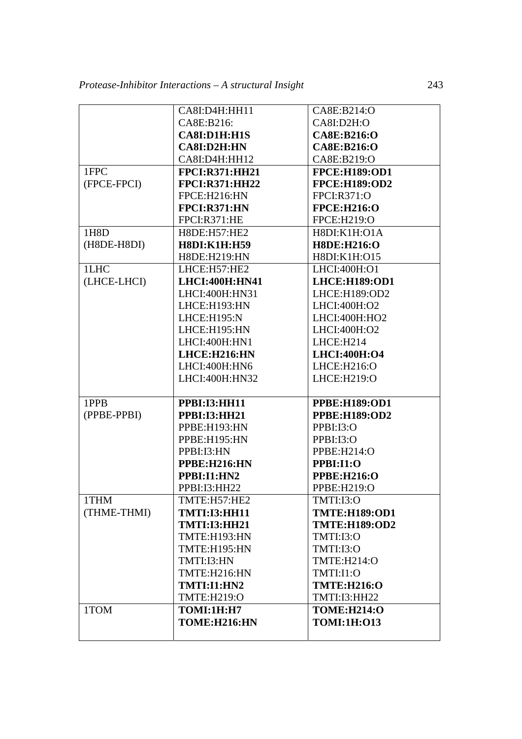|             | CA8I:D4H:HH11                     | CA8E:B214:O                              |
|-------------|-----------------------------------|------------------------------------------|
|             | CA8E:B216:                        | CA8I:D2H:O                               |
|             | CA8I:D1H:H1S                      | CA8E:B216:O                              |
|             | CA8I:D2H:HN                       | CA8E:B216:O                              |
|             | CA8I:D4H:HH12                     | CA8E:B219:O                              |
| 1FPC        | <b>FPCI:R371:HH21</b>             | <b>FPCE:H189:OD1</b>                     |
| (FPCE-FPCI) | <b>FPCI:R371:HH22</b>             | <b>FPCE:H189:OD2</b>                     |
|             | FPCE:H216:HN                      | <b>FPCI:R371:O</b>                       |
|             | <b>FPCI:R371:HN</b>               | <b>FPCE:H216:O</b>                       |
|             | FPCI:R371:HE                      | FPCE:H219:O                              |
| 1H8D        | H8DE:H57:HE2                      | H8DI:K1H:O1A                             |
| (H8DE-H8DI) | <b>H8DI:K1H:H59</b>               | <b>H8DE:H216:O</b>                       |
|             | H8DE:H219:HN                      | H8DI:K1H:O15                             |
| 1LHC        | LHCE:H57:HE2                      | LHCI:400H:O1                             |
| (LHCE-LHCI) | LHCI:400H:HN41                    | <b>LHCE:H189:OD1</b>                     |
|             | LHCI:400H:HN31                    | LHCE:H189:OD2                            |
|             | LHCE:H193:HN                      | LHCI:400H:O2                             |
|             | LHCE:H195:N                       | LHCI:400H:HO2                            |
|             | LHCE:H195:HN                      | LHCI:400H:O2                             |
|             | LHCI:400H:HN1                     | LHCE:H214                                |
|             | LHCE: H216: HN                    | LHCI:400H:O4                             |
|             | LHCI:400H:HN6                     | LHCE:H216:O                              |
|             |                                   |                                          |
|             | LHCI:400H:HN32                    | LHCE:H219:O                              |
|             |                                   |                                          |
| 1PPB        | <b>PPBI:I3:HH11</b>               | <b>PPBE:H189:OD1</b>                     |
| (PPBE-PPBI) | <b>PPBI:I3:HH21</b>               | <b>PPBE:H189:OD2</b>                     |
|             | PPBE:H193:HN                      | PPBI:I3:O                                |
|             | PPBE:H195:HN                      | PPBI:I3:O                                |
|             | PPBI:I3:HN                        | PPBE:H214:O                              |
|             | PPBE:H216:HN                      | PPBI:I1:O                                |
|             | PPBI:I1:HN2                       | <b>PPBE:H216:O</b>                       |
|             | PPBI:I3:HH22                      | PPBE:H219:O                              |
| 1THM        | TMTE:H57:HE2                      | TMTI:I3:O                                |
| (THME-THMI) | <b>TMTI:I3:HH11</b>               | <b>TMTE:H189:OD1</b>                     |
|             | <b>TMTI:I3:HH21</b>               | <b>TMTE:H189:OD2</b>                     |
|             | TMTE:H193:HN                      | TMTI:I3:O                                |
|             | TMTE:H195:HN                      | TMTI:I3:O                                |
|             | TMTI:I3:HN                        | TMTE:H214:O                              |
|             | TMTE:H216:HN                      | TMTI:I1:O                                |
|             | <b>TMTI:I1:HN2</b>                | <b>TMTE:H216:O</b>                       |
|             | TMTE:H219:O                       | TMTI:I3:HH22                             |
| 1TOM        | <b>TOMI:1H:H7</b><br>TOME:H216:HN | <b>TOME:H214:O</b><br><b>TOMI:1H:013</b> |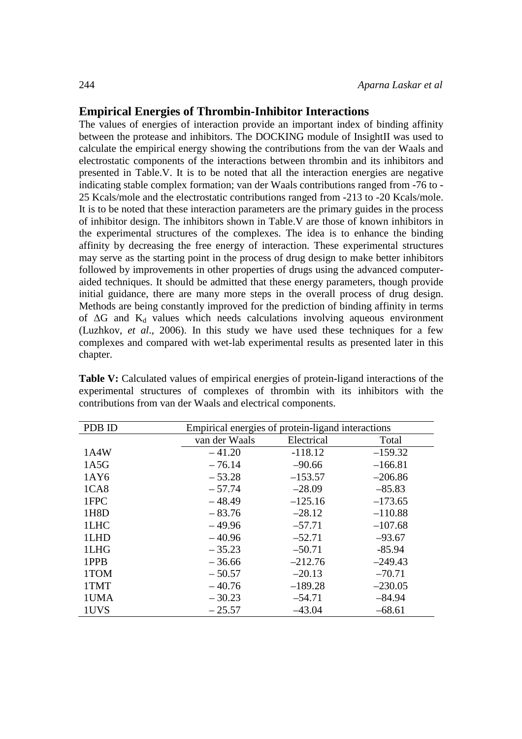# **Empirical Energies of Thrombin-Inhibitor Interactions**

The values of energies of interaction provide an important index of binding affinity between the protease and inhibitors. The DOCKING module of InsightII was used to calculate the empirical energy showing the contributions from the van der Waals and electrostatic components of the interactions between thrombin and its inhibitors and presented in Table.V. It is to be noted that all the interaction energies are negative indicating stable complex formation; van der Waals contributions ranged from -76 to - 25 Kcals/mole and the electrostatic contributions ranged from -213 to -20 Kcals/mole. It is to be noted that these interaction parameters are the primary guides in the process of inhibitor design. The inhibitors shown in Table.V are those of known inhibitors in the experimental structures of the complexes. The idea is to enhance the binding affinity by decreasing the free energy of interaction. These experimental structures may serve as the starting point in the process of drug design to make better inhibitors followed by improvements in other properties of drugs using the advanced computeraided techniques. It should be admitted that these energy parameters, though provide initial guidance, there are many more steps in the overall process of drug design. Methods are being constantly improved for the prediction of binding affinity in terms of  $\Delta G$  and  $K_d$  values which needs calculations involving aqueous environment (Luzhkov, *et al*., 2006). In this study we have used these techniques for a few complexes and compared with wet-lab experimental results as presented later in this chapter.

| Table V: Calculated values of empirical energies of protein-ligand interactions of the |  |  |  |  |  |
|----------------------------------------------------------------------------------------|--|--|--|--|--|
| experimental structures of complexes of thrombin with its inhibitors with the          |  |  |  |  |  |
| contributions from van der Waals and electrical components.                            |  |  |  |  |  |

| PDB ID | Empirical energies of protein-ligand interactions |            |           |  |  |  |
|--------|---------------------------------------------------|------------|-----------|--|--|--|
|        | van der Waals                                     | Electrical | Total     |  |  |  |
| 1A4W   | $-41.20$                                          | $-118.12$  | $-159.32$ |  |  |  |
| 1A5G   | $-76.14$                                          | $-90.66$   | $-166.81$ |  |  |  |
| 1AY6   | $-53.28$                                          | $-153.57$  | $-206.86$ |  |  |  |
| 1CA8   | $-57.74$                                          | $-28.09$   | $-85.83$  |  |  |  |
| 1FPC   | $-48.49$                                          | $-125.16$  | $-173.65$ |  |  |  |
| 1H8D   | $-83.76$                                          | $-28.12$   | $-110.88$ |  |  |  |
| 1LHC   | $-49.96$                                          | $-57.71$   | $-107.68$ |  |  |  |
| 1LHD   | $-40.96$                                          | $-52.71$   | $-93.67$  |  |  |  |
| 1LHG   | $-35.23$                                          | $-50.71$   | $-85.94$  |  |  |  |
| 1PPB   | $-36.66$                                          | $-212.76$  | $-249.43$ |  |  |  |
| 1TOM   | $-50.57$                                          | $-20.13$   | $-70.71$  |  |  |  |
| 1TMT   | $-40.76$                                          | $-189.28$  | $-230.05$ |  |  |  |
| 1UMA   | $-30.23$                                          | $-54.71$   | $-84.94$  |  |  |  |
| 1UVS   | $-25.57$                                          | $-43.04$   | $-68.61$  |  |  |  |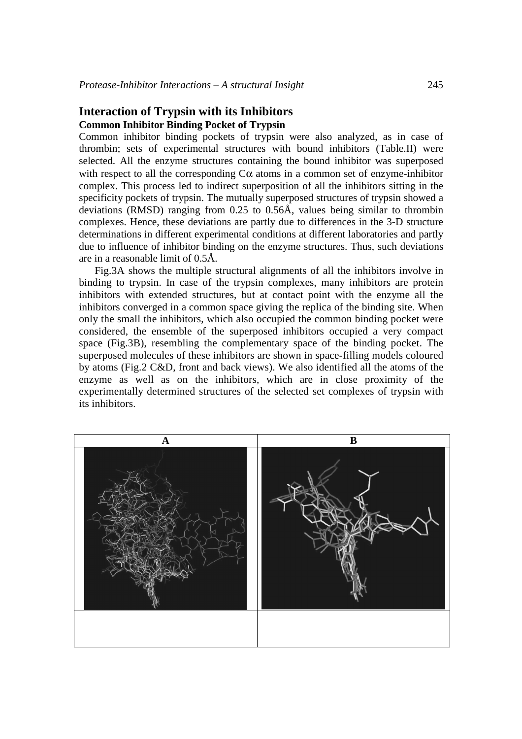# **Interaction of Trypsin with its Inhibitors Common Inhibitor Binding Pocket of Trypsin**

Common inhibitor binding pockets of trypsin were also analyzed, as in case of thrombin; sets of experimental structures with bound inhibitors (Table.II) were selected. All the enzyme structures containing the bound inhibitor was superposed with respect to all the corresponding  $C\alpha$  atoms in a common set of enzyme-inhibitor complex. This process led to indirect superposition of all the inhibitors sitting in the specificity pockets of trypsin. The mutually superposed structures of trypsin showed a deviations (RMSD) ranging from 0.25 to 0.56Å, values being similar to thrombin complexes. Hence, these deviations are partly due to differences in the 3-D structure determinations in different experimental conditions at different laboratories and partly due to influence of inhibitor binding on the enzyme structures. Thus, such deviations are in a reasonable limit of 0.5Å.

Fig.3A shows the multiple structural alignments of all the inhibitors involve in binding to trypsin. In case of the trypsin complexes, many inhibitors are protein inhibitors with extended structures, but at contact point with the enzyme all the inhibitors converged in a common space giving the replica of the binding site. When only the small the inhibitors, which also occupied the common binding pocket were considered, the ensemble of the superposed inhibitors occupied a very compact space (Fig.3B), resembling the complementary space of the binding pocket. The superposed molecules of these inhibitors are shown in space-filling models coloured by atoms (Fig.2 C&D, front and back views). We also identified all the atoms of the enzyme as well as on the inhibitors, which are in close proximity of the experimentally determined structures of the selected set complexes of trypsin with its inhibitors.

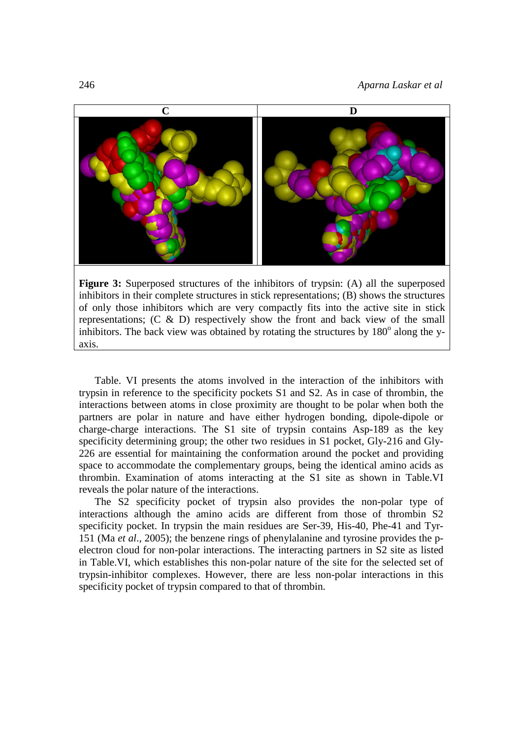246 *Aparna Laskar et al*



**Figure 3:** Superposed structures of the inhibitors of trypsin: (A) all the superposed inhibitors in their complete structures in stick representations; (B) shows the structures of only those inhibitors which are very compactly fits into the active site in stick representations;  $(C \& D)$  respectively show the front and back view of the small inhibitors. The back view was obtained by rotating the structures by  $180^\circ$  along the yaxis.

Table. VI presents the atoms involved in the interaction of the inhibitors with trypsin in reference to the specificity pockets S1 and S2. As in case of thrombin, the interactions between atoms in close proximity are thought to be polar when both the partners are polar in nature and have either hydrogen bonding, dipole-dipole or charge-charge interactions. The S1 site of trypsin contains Asp-189 as the key specificity determining group; the other two residues in S1 pocket, Gly-216 and Gly-226 are essential for maintaining the conformation around the pocket and providing space to accommodate the complementary groups, being the identical amino acids as thrombin. Examination of atoms interacting at the S1 site as shown in Table.VI reveals the polar nature of the interactions.

The S2 specificity pocket of trypsin also provides the non-polar type of interactions although the amino acids are different from those of thrombin S2 specificity pocket. In trypsin the main residues are Ser-39, His-40, Phe-41 and Tyr-151 (Ma *et al*., 2005); the benzene rings of phenylalanine and tyrosine provides the pelectron cloud for non-polar interactions. The interacting partners in S2 site as listed in Table.VI, which establishes this non-polar nature of the site for the selected set of trypsin-inhibitor complexes. However, there are less non-polar interactions in this specificity pocket of trypsin compared to that of thrombin.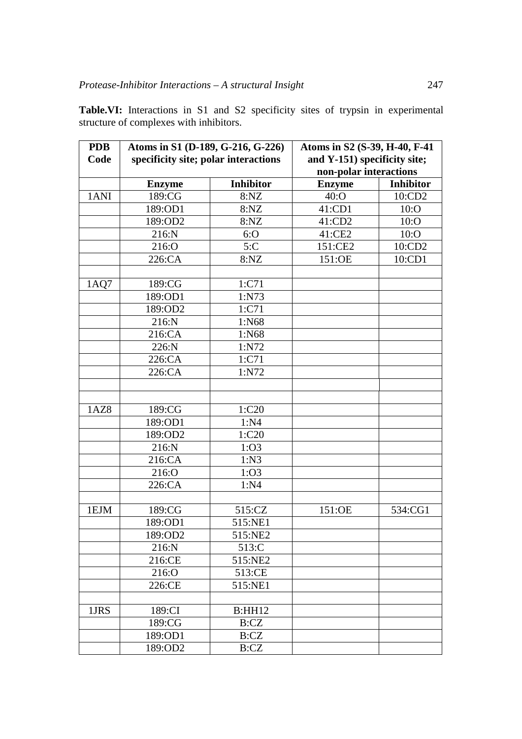| <b>PDB</b> | Atoms in S1 (D-189, G-216, G-226)    |                  | Atoms in S2 (S-39, H-40, F-41 |                  |  |
|------------|--------------------------------------|------------------|-------------------------------|------------------|--|
| Code       | specificity site; polar interactions |                  | and Y-151) specificity site;  |                  |  |
|            |                                      |                  | non-polar interactions        |                  |  |
|            | <b>Enzyme</b>                        | <b>Inhibitor</b> | <b>Enzyme</b>                 | <b>Inhibitor</b> |  |
| 1ANI       | 189:CG                               | 8:NZ             | $40:$ O                       | 10:CD2           |  |
|            | 189:OD1                              | 8:NZ             | 41:CD1                        | $10:$ O          |  |
|            | 189:OD2                              | 8:NZ             | 41:CD2                        | $10:$ O          |  |
|            | 216:N                                | 6:O              | 41:CE2                        | $10:$ O          |  |
|            | 216:O                                | 5: C             | 151:CE2                       | 10:CD2           |  |
|            | 226:CA                               | 8:NZ             | 151:OE                        | 10:CD1           |  |
|            |                                      |                  |                               |                  |  |
| 1AQ7       | 189:CG                               | 1:C71            |                               |                  |  |
|            | 189:OD1                              | 1:N73            |                               |                  |  |
|            | 189:OD2                              | 1:C71            |                               |                  |  |
|            | 216:N                                | 1:N68            |                               |                  |  |
|            | 216:CA                               | 1:N68            |                               |                  |  |
|            | 226:N                                | 1:N72            |                               |                  |  |
|            | 226:CA                               | 1:C71            |                               |                  |  |
|            | 226:CA                               | 1:N72            |                               |                  |  |
|            |                                      |                  |                               |                  |  |
|            |                                      |                  |                               |                  |  |
| 1AZ8       | 189:CG                               | 1:C20            |                               |                  |  |
|            | 189:OD1                              | 1:N4             |                               |                  |  |
|            | 189:OD2                              | 1:C20            |                               |                  |  |
|            | 216:N                                | 1:O3             |                               |                  |  |
|            | 216:CA                               | 1:N3             |                               |                  |  |
|            | 216:O                                | 1:O3             |                               |                  |  |
|            | 226:CA                               | 1:N4             |                               |                  |  |
|            |                                      |                  |                               |                  |  |
| 1EJM       | 189:CG                               | 515:CZ           | 151:OE                        | 534:CG1          |  |
|            | 189:OD1                              | 515:NE1          |                               |                  |  |
|            | 189:OD2                              | 515:NE2          |                               |                  |  |
|            | 216:N                                | 513:C            |                               |                  |  |
|            | 216:CE                               | 515:NE2          |                               |                  |  |
|            | 216:O                                | 513:CE           |                               |                  |  |
|            | 226:CE                               | 515:NE1          |                               |                  |  |
|            |                                      |                  |                               |                  |  |
| 1JRS       | 189:CI                               | B:HH12           |                               |                  |  |
|            | 189:CG                               | B: CZ            |                               |                  |  |
|            | 189:OD1                              | B: CZ            |                               |                  |  |
|            | 189:OD2                              | B:CZ             |                               |                  |  |

**Table.VI:** Interactions in S1 and S2 specificity sites of trypsin in experimental structure of complexes with inhibitors.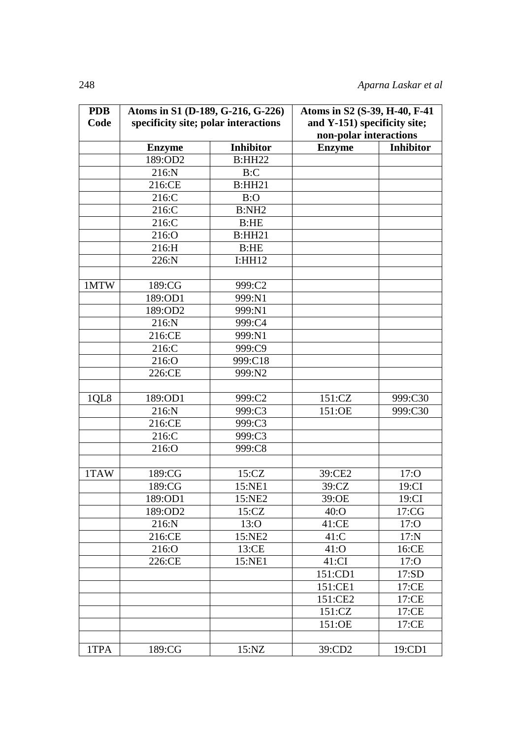| <b>PDB</b> | Atoms in S1 (D-189, G-216, G-226)    |                  | Atoms in S2 (S-39, H-40, F-41 |                  |  |
|------------|--------------------------------------|------------------|-------------------------------|------------------|--|
| Code       | specificity site; polar interactions |                  | and Y-151) specificity site;  |                  |  |
|            |                                      |                  | non-polar interactions        |                  |  |
|            | <b>Enzyme</b>                        | <b>Inhibitor</b> | <b>Enzyme</b>                 | <b>Inhibitor</b> |  |
|            | 189:OD2                              | <b>B:HH22</b>    |                               |                  |  |
|            | 216:N                                | B:C              |                               |                  |  |
|            | 216:CE                               | B:HH21           |                               |                  |  |
|            | 216:C                                | B:O              |                               |                  |  |
|            | 216:C                                | B:NH2            |                               |                  |  |
|            | 216:C                                | B:HE             |                               |                  |  |
|            | 216:O                                | B:HH21           |                               |                  |  |
|            | 216:H                                | B:HE             |                               |                  |  |
|            | 226:N                                | I:HH12           |                               |                  |  |
|            |                                      |                  |                               |                  |  |
| 1MTW       | 189:CG                               | 999:C2           |                               |                  |  |
|            | 189:OD1                              | 999:N1           |                               |                  |  |
|            | 189:OD2                              | 999:N1           |                               |                  |  |
|            | 216:N                                | 999:C4           |                               |                  |  |
|            | 216:CE                               | 999:N1           |                               |                  |  |
|            | 216:C                                | 999:C9           |                               |                  |  |
|            | 216:O                                | 999:C18          |                               |                  |  |
|            | 226:CE                               | 999:N2           |                               |                  |  |
| 1QL8       | 189:OD1                              | 999:C2           | 151:CZ                        | 999:C30          |  |
|            | 216:N                                | 999:C3           | 151:OE                        | 999:C30          |  |
|            | 216:CE                               | 999:C3           |                               |                  |  |
|            | 216:C                                | 999:C3           |                               |                  |  |
|            | 216:O                                | 999:C8           |                               |                  |  |
|            |                                      |                  |                               |                  |  |
| 1TAW       | 189:CG                               | 15:CZ            | 39:CE2                        | 17:0             |  |
|            | 189:CG                               | 15:NE1           | 39:CZ                         | 19:CI            |  |
|            | 189:OD1                              | 15:NE2           | 39:OE                         | 19:CI            |  |
|            | 189:OD2                              | 15:CZ            | $40:$ O                       | 17:CG            |  |
|            | 216:N                                | 13:0             | 41:CE                         | 17:0             |  |
|            | 216:CE                               | 15:NE2           | $41:$ C                       | $17:$ N          |  |
|            | 216:O                                | 13:CE            | 41:0                          | 16:CE            |  |
|            | 226:CE                               | 15:NE1           | 41:CI                         | 17:0             |  |
|            |                                      |                  | 151:CD1                       | 17:SD            |  |
|            |                                      |                  | 151:CE1                       | 17:CE            |  |
|            |                                      |                  | 151:CE2                       | 17:CE            |  |
|            |                                      |                  | 151:CZ                        | 17:CE            |  |
|            |                                      |                  | 151:OE                        | 17:CE            |  |
|            |                                      |                  |                               |                  |  |
| 1TPA       | 189:CG                               | 15:NZ            | 39:CD2                        | 19:CD1           |  |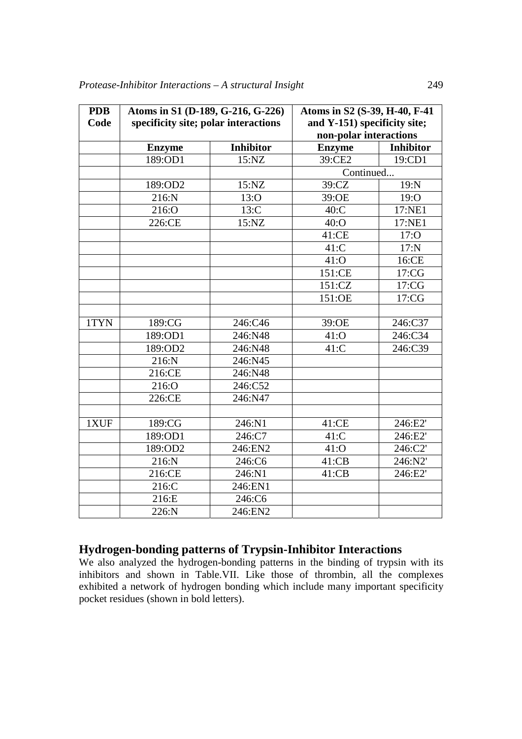| <b>PDB</b> | Atoms in S1 (D-189, G-216, G-226)<br>specificity site; polar interactions |                  | Atoms in S2 (S-39, H-40, F-41 |                  |  |
|------------|---------------------------------------------------------------------------|------------------|-------------------------------|------------------|--|
| Code       |                                                                           |                  | and Y-151) specificity site;  |                  |  |
|            |                                                                           |                  | non-polar interactions        |                  |  |
|            | <b>Enzyme</b>                                                             | <b>Inhibitor</b> | <b>Enzyme</b>                 | <b>Inhibitor</b> |  |
|            | 189:OD1                                                                   | 15:NZ            | 39:CE2                        | 19:CD1           |  |
|            |                                                                           |                  | Continued                     |                  |  |
|            | 189:OD2                                                                   | 15:NZ            | 39:CZ                         | 19:N             |  |
|            | 216:N                                                                     | 13:0             | 39:OE                         | 19:0             |  |
|            | 216:O                                                                     | $13:$ C          | $40:$ C                       | 17:NE1           |  |
|            | 226:CE                                                                    | 15:NZ            | $40:$ O                       | 17:NE1           |  |
|            |                                                                           |                  | 41:CE                         | 17:0             |  |
|            |                                                                           |                  | $41:$ C                       | $17:$ N          |  |
|            |                                                                           |                  | 41:0                          | 16:CE            |  |
|            |                                                                           |                  | 151:CE                        | 17:CG            |  |
|            |                                                                           |                  | 151:CZ                        | 17:CG            |  |
|            |                                                                           |                  | 151:OE                        | 17:CG            |  |
|            |                                                                           |                  |                               |                  |  |
| 1TYN       | 189:CG                                                                    | 246:C46          | 39:OE                         | 246:C37          |  |
|            | 189:OD1                                                                   | 246:N48          | 41:0                          | 246:C34          |  |
|            | 189:OD2                                                                   | 246:N48          | $41:$ C                       | 246:C39          |  |
|            | 216:N                                                                     | 246:N45          |                               |                  |  |
|            | 216:CE                                                                    | 246:N48          |                               |                  |  |
|            | 216:O                                                                     | 246:C52          |                               |                  |  |
|            | 226:CE                                                                    | 246:N47          |                               |                  |  |
|            |                                                                           |                  |                               |                  |  |
| 1XUF       | 189:CG                                                                    | 246:N1           | 41:CE                         | 246:E2'          |  |
|            | 189:OD1                                                                   | 246:C7           | $41:$ C                       | 246:E2'          |  |
|            | 189:OD2                                                                   | 246:EN2          | 41:0                          | 246:C2'          |  |
|            | 216:N                                                                     | 246:C6           | 41:CB                         | 246:N2'          |  |
|            | 216:CE                                                                    | 246:N1           | 41:CB                         | 246:E2'          |  |
|            | 216:C                                                                     | 246:EN1          |                               |                  |  |
|            | 216:E                                                                     | 246:C6           |                               |                  |  |
|            | 226:N                                                                     | 246:EN2          |                               |                  |  |

# **Hydrogen-bonding patterns of Trypsin-Inhibitor Interactions**

We also analyzed the hydrogen-bonding patterns in the binding of trypsin with its inhibitors and shown in Table.VII. Like those of thrombin, all the complexes exhibited a network of hydrogen bonding which include many important specificity pocket residues (shown in bold letters).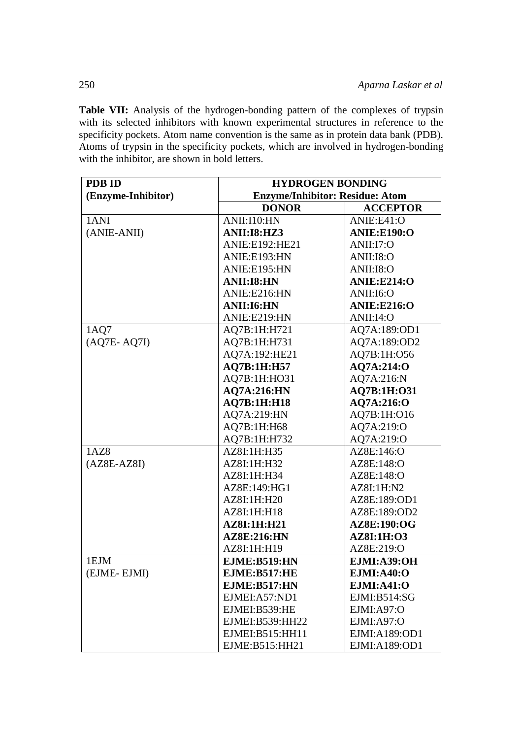Table VII: Analysis of the hydrogen-bonding pattern of the complexes of trypsin with its selected inhibitors with known experimental structures in reference to the specificity pockets. Atom name convention is the same as in protein data bank (PDB). Atoms of trypsin in the specificity pockets, which are involved in hydrogen-bonding with the inhibitor, are shown in bold letters.

| <b>PDB ID</b>      | <b>HYDROGEN BONDING</b>                |                    |  |  |
|--------------------|----------------------------------------|--------------------|--|--|
| (Enzyme-Inhibitor) | <b>Enzyme/Inhibitor: Residue: Atom</b> |                    |  |  |
|                    | <b>DONOR</b>                           | <b>ACCEPTOR</b>    |  |  |
| 1ANI               | ANII:I10:HN                            | ANIE:E41:O         |  |  |
| (ANIE-ANII)        | <b>ANII:I8:HZ3</b>                     | ANIE: E190:O       |  |  |
|                    | <b>ANIE:E192:HE21</b>                  | ANII:17:O          |  |  |
|                    | ANIE:E193:HN                           | <b>ANII:I8:O</b>   |  |  |
|                    | ANIE:E195:HN                           | <b>ANII:I8:O</b>   |  |  |
|                    | <b>ANII:I8:HN</b>                      | ANIE: E214:O       |  |  |
|                    | ANIE:E216:HN                           | ANII:I6:O          |  |  |
|                    | <b>ANII:I6:HN</b>                      | <b>ANIE:E216:O</b> |  |  |
|                    | ANIE:E219:HN                           | ANII:I4:O          |  |  |
| 1AQ7               | AQ7B:1H:H721                           | AQ7A:189:OD1       |  |  |
| $(AQ7E-AQ7I)$      | AQ7B:1H:H731                           | AQ7A:189:OD2       |  |  |
|                    | AQ7A:192:HE21                          | AQ7B:1H:O56        |  |  |
|                    | AQ7B:1H:H57                            | AQ7A:214:O         |  |  |
|                    | AQ7B:1H:HO31                           | AQ7A:216:N         |  |  |
|                    | <b>AQ7A:216:HN</b>                     | AQ7B:1H:O31        |  |  |
|                    | <b>AQ7B:1H:H18</b>                     | AQ7A:216:O         |  |  |
|                    | AQ7A:219:HN                            | AQ7B:1H:016        |  |  |
|                    | AQ7B:1H:H68                            | AQ7A:219:O         |  |  |
|                    | AQ7B:1H:H732                           | AQ7A:219:O         |  |  |
| 1AZ8               | AZ8I:1H:H35                            | AZ8E:146:O         |  |  |
| $(AZ8E-AZ8I)$      | AZ8I:1H:H32                            | AZ8E:148:O         |  |  |
|                    | AZ8I:1H:H34                            | AZ8E:148:O         |  |  |
|                    | AZ8E:149:HG1                           | AZ8I:1H:N2         |  |  |
|                    | AZ8I:1H:H20                            | AZ8E:189:OD1       |  |  |
|                    | AZ8I:1H:H18                            | AZ8E:189:OD2       |  |  |
|                    | <b>AZ8I:1H:H21</b>                     | AZ8E:190:OG        |  |  |
|                    | <b>AZ8E:216:HN</b>                     | AZ8I:1H:03         |  |  |
|                    | AZ8I:1H:H19                            | AZ8E:219:O         |  |  |
| 1EJM               | <b>EJME:B519:HN</b>                    | <b>EJMI:A39:OH</b> |  |  |
| (EJME-EJMI)        | EJME:B517:HE                           | <b>EJMI:A40:O</b>  |  |  |
|                    | EJME:B517:HN                           | <b>EJMI:A41:O</b>  |  |  |
|                    | EJMEI:A57:ND1                          | EJMI:B514:SG       |  |  |
|                    | EJMEI:B539:HE                          | EJMI:A97:O         |  |  |
|                    | EJMEI:B539:HH22                        | EJMI:A97:O         |  |  |
|                    | EJMEI:B515:HH11                        | EJMI:A189:OD1      |  |  |
|                    | EJME:B515:HH21                         | EJMI:A189:OD1      |  |  |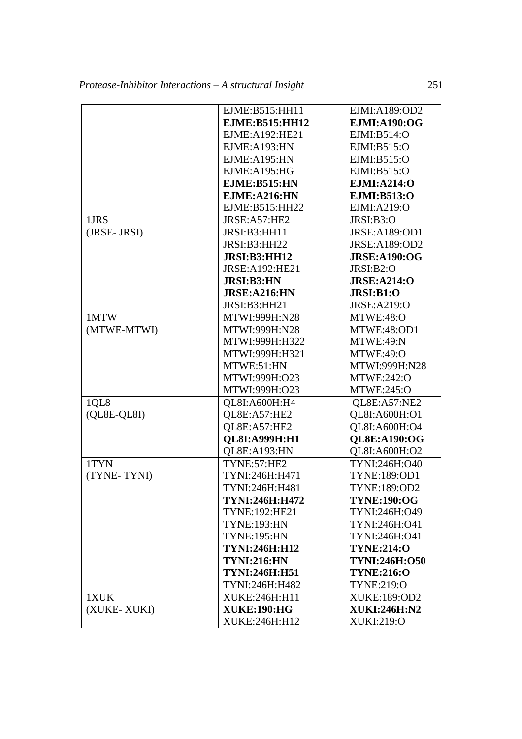|             | EJME:B515:HH11        | EJMI:A189:OD2        |
|-------------|-----------------------|----------------------|
|             | <b>EJME:B515:HH12</b> | <b>EJMI:A190:OG</b>  |
|             | EJME:A192:HE21        | EJMI:B514:O          |
|             | EJME:A193:HN          | EJMI:B515:O          |
|             | EJME:A195:HN          | EJMI:B515:O          |
|             | EJME:A195:HG          | EJMI:B515:O          |
|             | EJME: B515: HN        | <b>EJMI:A214:O</b>   |
|             | EJME: A216:HN         | EJMI:B513:O          |
|             | EJME:B515:HH22        | EJMI:A219:O          |
| 1JRS        | JRSE:A57:HE2          | JRSI:B3:O            |
| (JRSE-JRSI) | JRSI:B3:HH11          | JRSE:A189:OD1        |
|             | JRSI:B3:HH22          | JRSE:A189:OD2        |
|             | <b>JRSI:B3:HH12</b>   | <b>JRSE:A190:OG</b>  |
|             | JRSE:A192:HE21        | JRSI:B2:O            |
|             | <b>JRSI:B3:HN</b>     | JRSE: A214:O         |
|             | JRSE: A216: HN        | JRSI:B1:O            |
|             | JRSI:B3:HH21          | <b>JRSE:A219:O</b>   |
| 1MTW        | MTWI:999H:N28         | MTWE:48:O            |
| (MTWE-MTWI) | MTWI:999H:N28         | MTWE:48:OD1          |
|             | MTWI:999H:H322        | MTWE:49:N            |
|             | MTWI:999H:H321        | MTWE:49:O            |
|             | MTWE:51:HN            | MTWI:999H:N28        |
|             | MTWI:999H:O23         | <b>MTWE:242:O</b>    |
|             | MTWI:999H:O23         | <b>MTWE:245:O</b>    |
| 1QL8        | QL8I:A600H:H4         | QL8E:A57:NE2         |
| (QL8E-QL8I) | QL8E:A57:HE2          | QL8I:A600H:O1        |
|             | QL8E:A57:HE2          | QL8I:A600H:O4        |
|             | <b>QL8I:A999H:H1</b>  | <b>OL8E:A190:OG</b>  |
|             | QL8E:A193:HN          | QL8I:A600H:O2        |
| 1TYN        | TYNE:57:HE2           | TYNI:246H:O40        |
| (TYNE-TYNI) | TYNI:246H:H471        | TYNE:189:OD1         |
|             | TYNI:246H:H481        | TYNE:189:OD2         |
|             | TYNI:246H:H472        | <b>TYNE:190:OG</b>   |
|             | TYNE:192:HE21         | TYNI:246H:O49        |
|             | <b>TYNE:193:HN</b>    | TYNI:246H:O41        |
|             | <b>TYNE:195:HN</b>    | TYNI:246H:O41        |
|             | <b>TYNI:246H:H12</b>  | <b>TYNE:214:0</b>    |
|             | <b>TYNI:216:HN</b>    | <b>TYNI:246H:O50</b> |
|             | <b>TYNI:246H:H51</b>  | <b>TYNE:216:O</b>    |
|             | TYNI:246H:H482        | TYNE:219:O           |
| 1XUK        | XUKE:246H:H11         | XUKE:189:OD2         |
| (XUKE-XUKI) | <b>XUKE:190:HG</b>    | <b>XUKI:246H:N2</b>  |
|             | XUKE:246H:H12         | XUKI:219:O           |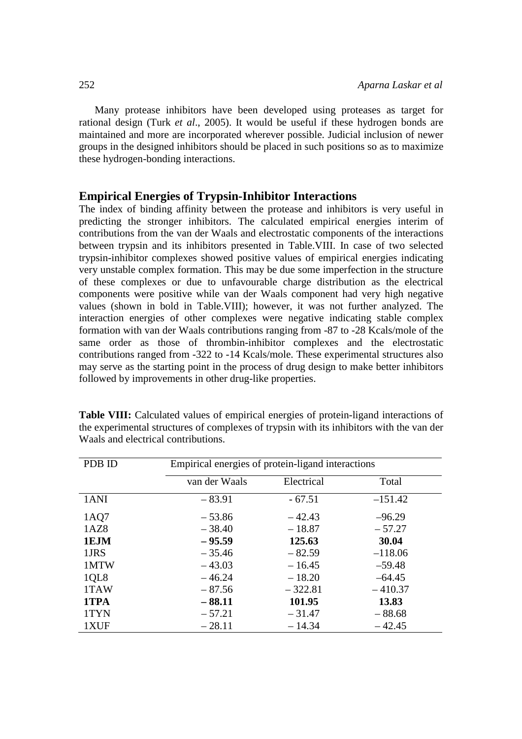Many protease inhibitors have been developed using proteases as target for rational design (Turk *et al*., 2005). It would be useful if these hydrogen bonds are maintained and more are incorporated wherever possible. Judicial inclusion of newer groups in the designed inhibitors should be placed in such positions so as to maximize these hydrogen-bonding interactions.

## **Empirical Energies of Trypsin-Inhibitor Interactions**

The index of binding affinity between the protease and inhibitors is very useful in predicting the stronger inhibitors. The calculated empirical energies interim of contributions from the van der Waals and electrostatic components of the interactions between trypsin and its inhibitors presented in Table.VIII. In case of two selected trypsin-inhibitor complexes showed positive values of empirical energies indicating very unstable complex formation. This may be due some imperfection in the structure of these complexes or due to unfavourable charge distribution as the electrical components were positive while van der Waals component had very high negative values (shown in bold in Table.VIII); however, it was not further analyzed. The interaction energies of other complexes were negative indicating stable complex formation with van der Waals contributions ranging from -87 to -28 Kcals/mole of the same order as those of thrombin-inhibitor complexes and the electrostatic contributions ranged from -322 to -14 Kcals/mole. These experimental structures also may serve as the starting point in the process of drug design to make better inhibitors followed by improvements in other drug-like properties.

| PDB ID | Empirical energies of protein-ligand interactions |            |           |  |
|--------|---------------------------------------------------|------------|-----------|--|
|        | van der Waals                                     | Electrical | Total     |  |
| 1ANI   | $-83.91$                                          | $-67.51$   | $-151.42$ |  |
| 1AQ7   | $-53.86$                                          | $-42.43$   | $-96.29$  |  |
| 1AZ8   | $-38.40$                                          | $-18.87$   | $-57.27$  |  |
| 1EJM   | $-95.59$                                          | 125.63     | 30.04     |  |
| 1JRS   | $-35.46$                                          | $-82.59$   | $-118.06$ |  |
| 1MTW   | $-43.03$                                          | $-16.45$   | $-59.48$  |  |
| 1QL8   | $-46.24$                                          | $-18.20$   | $-64.45$  |  |
| 1TAW   | $-87.56$                                          | $-322.81$  | $-410.37$ |  |
| 1TPA   | $-88.11$                                          | 101.95     | 13.83     |  |
| 1TYN   | $-57.21$                                          | $-31.47$   | $-88.68$  |  |
| 1XUF   | $-28.11$                                          | $-14.34$   | $-42.45$  |  |

**Table VIII:** Calculated values of empirical energies of protein-ligand interactions of the experimental structures of complexes of trypsin with its inhibitors with the van der Waals and electrical contributions.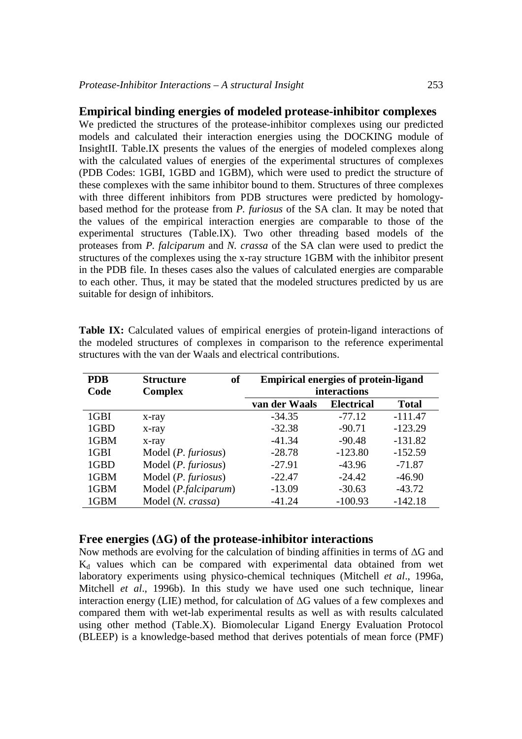### **Empirical binding energies of modeled protease-inhibitor complexes**

We predicted the structures of the protease-inhibitor complexes using our predicted models and calculated their interaction energies using the DOCKING module of InsightII. Table.IX presents the values of the energies of modeled complexes along with the calculated values of energies of the experimental structures of complexes (PDB Codes: 1GBI, 1GBD and 1GBM), which were used to predict the structure of these complexes with the same inhibitor bound to them. Structures of three complexes with three different inhibitors from PDB structures were predicted by homologybased method for the protease from *P. furiosus* of the SA clan. It may be noted that the values of the empirical interaction energies are comparable to those of the experimental structures (Table.IX). Two other threading based models of the proteases from *P. falciparum* and *N. crassa* of the SA clan were used to predict the structures of the complexes using the x-ray structure 1GBM with the inhibitor present in the PDB file. In theses cases also the values of calculated energies are comparable to each other. Thus, it may be stated that the modeled structures predicted by us are suitable for design of inhibitors.

| <b>PDB</b><br>Code | of<br><b>Structure</b><br><b>Complex</b> | <b>Empirical energies of protein-ligand</b><br>interactions |                   |              |  |
|--------------------|------------------------------------------|-------------------------------------------------------------|-------------------|--------------|--|
|                    |                                          | van der Waals                                               | <b>Electrical</b> | <b>Total</b> |  |
| 1GBI               | x-ray                                    | $-34.35$                                                    | $-77.12$          | $-111.47$    |  |
| 1GBD               | x-ray                                    | $-32.38$                                                    | $-90.71$          | $-123.29$    |  |
| 1GBM               | x-ray                                    | $-41.34$                                                    | $-90.48$          | $-131.82$    |  |
| 1GBI               | Model $(P.$ furiosus)                    | $-28.78$                                                    | $-123.80$         | $-152.59$    |  |
| 1GBD               | Model ( <i>P. furiosus</i> )             | $-27.91$                                                    | $-43.96$          | $-71.87$     |  |
| 1GBM               | Model (P. furiosus)                      | $-22.47$                                                    | $-24.42$          | $-46.90$     |  |
| 1GBM               | Model ( <i>P.falciparum</i> )            | $-13.09$                                                    | $-30.63$          | $-43.72$     |  |
| 1GBM               | Model (N. crassa)                        | $-41.24$                                                    | $-100.93$         | $-142.18$    |  |

**Table IX:** Calculated values of empirical energies of protein-ligand interactions of the modeled structures of complexes in comparison to the reference experimental structures with the van der Waals and electrical contributions.

### **Free energies (**Δ**G) of the protease-inhibitor interactions**

Now methods are evolving for the calculation of binding affinities in terms of ΔG and  $K_d$  values which can be compared with experimental data obtained from wet laboratory experiments using physico-chemical techniques (Mitchell *et al*., 1996a, Mitchell *et al*., 1996b). In this study we have used one such technique, linear interaction energy (LIE) method, for calculation of ΔG values of a few complexes and compared them with wet-lab experimental results as well as with results calculated using other method (Table.X). Biomolecular Ligand Energy Evaluation Protocol (BLEEP) is a knowledge-based method that derives potentials of mean force (PMF)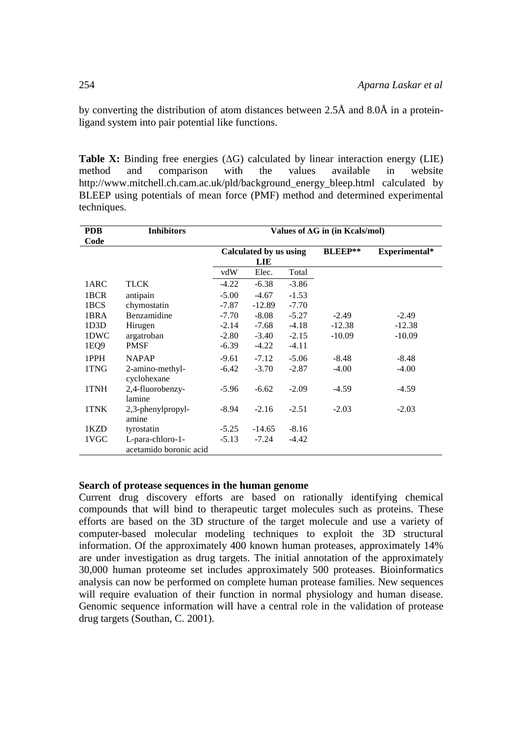by converting the distribution of atom distances between 2.5Å and 8.0Å in a proteinligand system into pair potential like functions.

**Table X:** Binding free energies (ΔG) calculated by linear interaction energy (LIE) method and comparison with the values available in website http://www.mitchell.ch.cam.ac.uk/pld/background\_energy\_bleep.html calculated by BLEEP using potentials of mean force (PMF) method and determined experimental techniques.

| <b>PDB</b> | <b>Inhibitors</b>      | Values of AG in (in Kcals/mol) |                        |         |                |               |
|------------|------------------------|--------------------------------|------------------------|---------|----------------|---------------|
| Code       |                        |                                |                        |         |                |               |
|            |                        |                                | Calculated by us using |         | <b>BLEEP**</b> | Experimental* |
|            |                        |                                | <b>LIE</b>             |         |                |               |
|            |                        | vdW                            | Elec.                  | Total   |                |               |
| 1ARC       | <b>TLCK</b>            | $-4.22$                        | $-6.38$                | $-3.86$ |                |               |
| 1BCR       | antipain               | $-5.00$                        | $-4.67$                | $-1.53$ |                |               |
| 1BCS       | chymostatin            | $-7.87$                        | $-12.89$               | $-7.70$ |                |               |
| 1BRA       | Benzamidine            | $-7.70$                        | $-8.08$                | $-5.27$ | $-2.49$        | $-2.49$       |
| 1D3D       | Hirugen                | $-2.14$                        | -7.68                  | $-4.18$ | $-12.38$       | $-12.38$      |
| 1DWC       | argatroban             | $-2.80$                        | $-3.40$                | $-2.15$ | $-10.09$       | $-10.09$      |
| 1EQ9       | <b>PMSF</b>            | $-6.39$                        | $-4.22$                | $-4.11$ |                |               |
| 1PPH       | <b>NAPAP</b>           | $-9.61$                        | $-7.12$                | $-5.06$ | $-8.48$        | $-8.48$       |
| 1TNG       | 2-amino-methyl-        | $-6.42$                        | $-3.70$                | $-2.87$ | $-4.00$        | $-4.00$       |
|            | cyclohexane            |                                |                        |         |                |               |
| 1TNH       | 2,4-fluorobenzy-       | $-5.96$                        | $-6.62$                | $-2.09$ | $-4.59$        | $-4.59$       |
|            | lamine                 |                                |                        |         |                |               |
| 1TNK       | 2,3-phenylpropyl-      | $-8.94$                        | $-2.16$                | $-2.51$ | $-2.03$        | $-2.03$       |
|            | amine                  |                                |                        |         |                |               |
| 1KZD       | tyrostatin             | $-5.25$                        | $-14.65$               | $-8.16$ |                |               |
| 1VGC       | L-para-chloro-1-       | $-5.13$                        | $-7.24$                | $-4.42$ |                |               |
|            | acetamido boronic acid |                                |                        |         |                |               |

### **Search of protease sequences in the human genome**

Current drug discovery efforts are based on rationally identifying chemical compounds that will bind to therapeutic target molecules such as proteins. These efforts are based on the 3D structure of the target molecule and use a variety of computer-based molecular modeling techniques to exploit the 3D structural information. Of the approximately 400 known human proteases, approximately 14% are under investigation as drug targets. The initial annotation of the approximately 30,000 human proteome set includes approximately 500 proteases. Bioinformatics analysis can now be performed on complete human protease families. New sequences will require evaluation of their function in normal physiology and human disease. Genomic sequence information will have a central role in the validation of protease drug targets (Southan, C. 2001).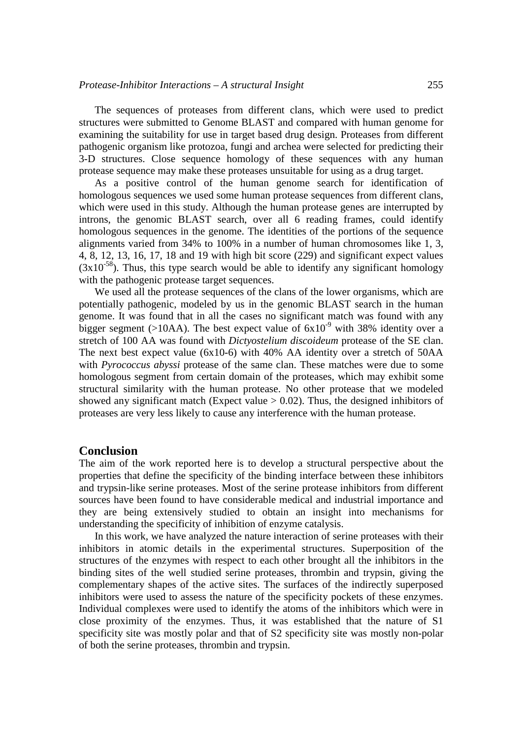The sequences of proteases from different clans, which were used to predict structures were submitted to Genome BLAST and compared with human genome for examining the suitability for use in target based drug design. Proteases from different pathogenic organism like protozoa, fungi and archea were selected for predicting their 3-D structures. Close sequence homology of these sequences with any human protease sequence may make these proteases unsuitable for using as a drug target.

As a positive control of the human genome search for identification of homologous sequences we used some human protease sequences from different clans, which were used in this study. Although the human protease genes are interrupted by introns, the genomic BLAST search, over all 6 reading frames, could identify homologous sequences in the genome. The identities of the portions of the sequence alignments varied from 34% to 100% in a number of human chromosomes like 1, 3, 4, 8, 12, 13, 16, 17, 18 and 19 with high bit score (229) and significant expect values  $(3x10^{-58})$ . Thus, this type search would be able to identify any significant homology with the pathogenic protease target sequences.

We used all the protease sequences of the clans of the lower organisms, which are potentially pathogenic, modeled by us in the genomic BLAST search in the human genome. It was found that in all the cases no significant match was found with any bigger segment (>10AA). The best expect value of  $6x10^{-9}$  with 38% identity over a stretch of 100 AA was found with *Dictyostelium discoideum* protease of the SE clan. The next best expect value (6x10-6) with 40% AA identity over a stretch of 50AA with *Pyrococcus abyssi* protease of the same clan. These matches were due to some homologous segment from certain domain of the proteases, which may exhibit some structural similarity with the human protease. No other protease that we modeled showed any significant match (Expect value  $> 0.02$ ). Thus, the designed inhibitors of proteases are very less likely to cause any interference with the human protease.

## **Conclusion**

The aim of the work reported here is to develop a structural perspective about the properties that define the specificity of the binding interface between these inhibitors and trypsin-like serine proteases. Most of the serine protease inhibitors from different sources have been found to have considerable medical and industrial importance and they are being extensively studied to obtain an insight into mechanisms for understanding the specificity of inhibition of enzyme catalysis.

In this work, we have analyzed the nature interaction of serine proteases with their inhibitors in atomic details in the experimental structures. Superposition of the structures of the enzymes with respect to each other brought all the inhibitors in the binding sites of the well studied serine proteases, thrombin and trypsin, giving the complementary shapes of the active sites. The surfaces of the indirectly superposed inhibitors were used to assess the nature of the specificity pockets of these enzymes. Individual complexes were used to identify the atoms of the inhibitors which were in close proximity of the enzymes. Thus, it was established that the nature of S1 specificity site was mostly polar and that of S2 specificity site was mostly non-polar of both the serine proteases, thrombin and trypsin.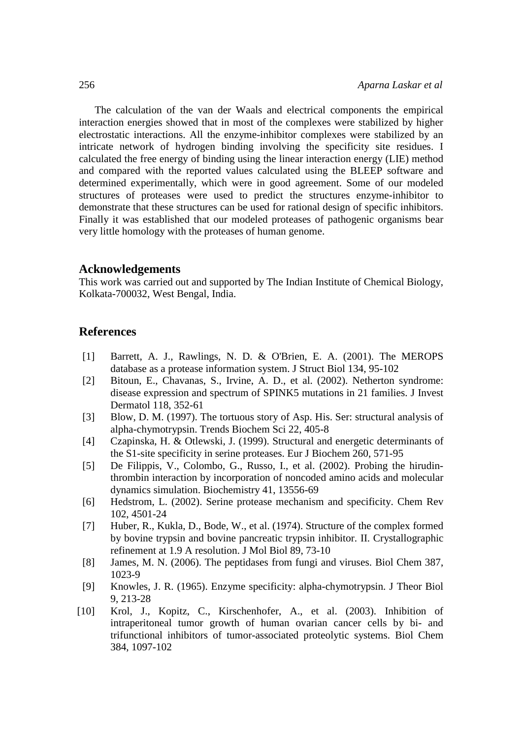The calculation of the van der Waals and electrical components the empirical interaction energies showed that in most of the complexes were stabilized by higher electrostatic interactions. All the enzyme-inhibitor complexes were stabilized by an intricate network of hydrogen binding involving the specificity site residues. I calculated the free energy of binding using the linear interaction energy (LIE) method and compared with the reported values calculated using the BLEEP software and determined experimentally, which were in good agreement. Some of our modeled structures of proteases were used to predict the structures enzyme-inhibitor to demonstrate that these structures can be used for rational design of specific inhibitors. Finally it was established that our modeled proteases of pathogenic organisms bear very little homology with the proteases of human genome.

### **Acknowledgements**

This work was carried out and supported by The Indian Institute of Chemical Biology, Kolkata-700032, West Bengal, India.

# **References**

- [1] Barrett, A. J., Rawlings, N. D. & O'Brien, E. A. (2001). The MEROPS database as a protease information system. J Struct Biol 134, 95-102
- [2] Bitoun, E., Chavanas, S., Irvine, A. D., et al. (2002). Netherton syndrome: disease expression and spectrum of SPINK5 mutations in 21 families. J Invest Dermatol 118, 352-61
- [3] Blow, D. M. (1997). The tortuous story of Asp. His. Ser: structural analysis of alpha-chymotrypsin. Trends Biochem Sci 22, 405-8
- [4] Czapinska, H. & Otlewski, J. (1999). Structural and energetic determinants of the S1-site specificity in serine proteases. Eur J Biochem 260, 571-95
- [5] De Filippis, V., Colombo, G., Russo, I., et al. (2002). Probing the hirudinthrombin interaction by incorporation of noncoded amino acids and molecular dynamics simulation. Biochemistry 41, 13556-69
- [6] Hedstrom, L. (2002). Serine protease mechanism and specificity. Chem Rev 102, 4501-24
- [7] Huber, R., Kukla, D., Bode, W., et al. (1974). Structure of the complex formed by bovine trypsin and bovine pancreatic trypsin inhibitor. II. Crystallographic refinement at 1.9 A resolution. J Mol Biol 89, 73-10
- [8] James, M. N. (2006). The peptidases from fungi and viruses. Biol Chem 387, 1023-9
- [9] Knowles, J. R. (1965). Enzyme specificity: alpha-chymotrypsin. J Theor Biol 9, 213-28
- [10] Krol, J., Kopitz, C., Kirschenhofer, A., et al. (2003). Inhibition of intraperitoneal tumor growth of human ovarian cancer cells by bi- and trifunctional inhibitors of tumor-associated proteolytic systems. Biol Chem 384, 1097-102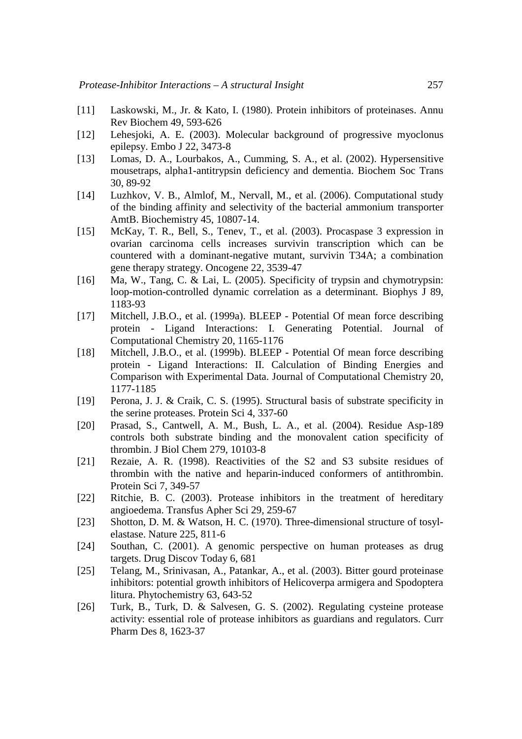- [11] Laskowski, M., Jr. & Kato, I. (1980). Protein inhibitors of proteinases. Annu Rev Biochem 49, 593-626
- [12] Lehesjoki, A. E. (2003). Molecular background of progressive myoclonus epilepsy. Embo J 22, 3473-8
- [13] Lomas, D. A., Lourbakos, A., Cumming, S. A., et al. (2002). Hypersensitive mousetraps, alpha1-antitrypsin deficiency and dementia. Biochem Soc Trans 30, 89-92
- [14] Luzhkov, V. B., Almlof, M., Nervall, M., et al. (2006). Computational study of the binding affinity and selectivity of the bacterial ammonium transporter AmtB. Biochemistry 45, 10807-14.
- [15] McKay, T. R., Bell, S., Tenev, T., et al. (2003). Procaspase 3 expression in ovarian carcinoma cells increases survivin transcription which can be countered with a dominant-negative mutant, survivin T34A; a combination gene therapy strategy. Oncogene 22, 3539-47
- [16] Ma, W., Tang, C. & Lai, L. (2005). Specificity of trypsin and chymotrypsin: loop-motion-controlled dynamic correlation as a determinant. Biophys J 89, 1183-93
- [17] Mitchell, J.B.O., et al. (1999a). BLEEP Potential Of mean force describing protein - Ligand Interactions: I. Generating Potential. Journal of Computational Chemistry 20, 1165-1176
- [18] Mitchell, J.B.O., et al. (1999b). BLEEP Potential Of mean force describing protein - Ligand Interactions: II. Calculation of Binding Energies and Comparison with Experimental Data. Journal of Computational Chemistry 20, 1177-1185
- [19] Perona, J. J. & Craik, C. S. (1995). Structural basis of substrate specificity in the serine proteases. Protein Sci 4, 337-60
- [20] Prasad, S., Cantwell, A. M., Bush, L. A., et al. (2004). Residue Asp-189 controls both substrate binding and the monovalent cation specificity of thrombin. J Biol Chem 279, 10103-8
- [21] Rezaie, A. R. (1998). Reactivities of the S2 and S3 subsite residues of thrombin with the native and heparin-induced conformers of antithrombin. Protein Sci 7, 349-57
- [22] Ritchie, B. C. (2003). Protease inhibitors in the treatment of hereditary angioedema. Transfus Apher Sci 29, 259-67
- [23] Shotton, D. M. & Watson, H. C. (1970). Three-dimensional structure of tosylelastase. Nature 225, 811-6
- [24] Southan, C. (2001). A genomic perspective on human proteases as drug targets. Drug Discov Today 6, 681
- [25] Telang, M., Srinivasan, A., Patankar, A., et al. (2003). Bitter gourd proteinase inhibitors: potential growth inhibitors of Helicoverpa armigera and Spodoptera litura. Phytochemistry 63, 643-52
- [26] Turk, B., Turk, D. & Salvesen, G. S. (2002). Regulating cysteine protease activity: essential role of protease inhibitors as guardians and regulators. Curr Pharm Des 8, 1623-37